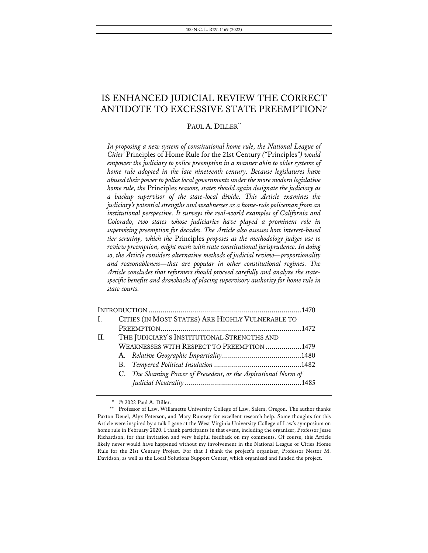# IS ENHANCED JUDICIAL REVIEW THE CORRECT ANTIDOTE TO EXCESSIVE STATE PREEMPTION?\*

### PAUL A. DILLER<sup>\*\*</sup>

*In proposing a new system of constitutional home rule, the National League of Cities'* Principles of Home Rule for the 21st Century *("*Principles*") would empower the judiciary to police preemption in a manner akin to older systems of home rule adopted in the late nineteenth century. Because legislatures have abused their power to police local governments under the more modern legislative home rule, the* Principles *reasons, states should again designate the judiciary as a backup supervisor of the state-local divide. This Article examines the judiciary's potential strengths and weaknesses as a home-rule policeman from an institutional perspective. It surveys the real-world examples of California and Colorado, two states whose judiciaries have played a prominent role in supervising preemption for decades. The Article also assesses how interest-based tier scrutiny, which the* Principles *proposes as the methodology judges use to review preemption, might mesh with state constitutional jurisprudence. In doing so, the Article considers alternative methods of judicial review—proportionality and reasonableness—that are popular in other constitutional regimes. The Article concludes that reformers should proceed carefully and analyze the statespecific benefits and drawbacks of placing supervisory authority for home rule in state courts.*

| I. <sub>1</sub> |                                             | CITIES (IN MOST STATES) ARE HIGHLY VULNERABLE TO               |  |  |  |
|-----------------|---------------------------------------------|----------------------------------------------------------------|--|--|--|
|                 |                                             |                                                                |  |  |  |
| II.             | THE JUDICIARY'S INSTITUTIONAL STRENGTHS AND |                                                                |  |  |  |
|                 |                                             | WEAKNESSES WITH RESPECT TO PREEMPTION 1479                     |  |  |  |
|                 |                                             |                                                                |  |  |  |
|                 |                                             |                                                                |  |  |  |
|                 |                                             | C. The Shaming Power of Precedent, or the Aspirational Norm of |  |  |  |
|                 |                                             |                                                                |  |  |  |
|                 |                                             |                                                                |  |  |  |

\* © 2022 Paul A. Diller.

<sup>\*\*</sup> Professor of Law, Willamette University College of Law, Salem, Oregon. The author thanks Paxton Deuel, Alyx Peterson, and Mary Rumsey for excellent research help. Some thoughts for this Article were inspired by a talk I gave at the West Virginia University College of Law's symposium on home rule in February 2020. I thank participants in that event, including the organizer, Professor Jesse Richardson, for that invitation and very helpful feedback on my comments. Of course, this Article likely never would have happened without my involvement in the National League of Cities Home Rule for the 21st Century Project. For that I thank the project's organizer, Professor Nestor M. Davidson, as well as the Local Solutions Support Center, which organized and funded the project.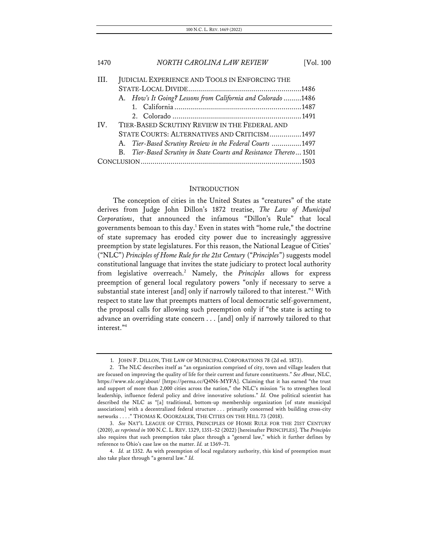# 1470 *NORTH CAROLINA LAW REVIEW* [Vol. 100 III. JUDICIAL EXPERIENCE AND TOOLS IN ENFORCING THE STATE-LOCAL DIVIDE.........................................................1486

|          |                                               |  | A. How's It Going? Lessons from California and Colorado 1486       |  |  |  |
|----------|-----------------------------------------------|--|--------------------------------------------------------------------|--|--|--|
|          |                                               |  |                                                                    |  |  |  |
|          |                                               |  |                                                                    |  |  |  |
| $IV_{-}$ | TIER-BASED SCRUTINY REVIEW IN THE FEDERAL AND |  |                                                                    |  |  |  |
|          |                                               |  | STATE COURTS: ALTERNATIVES AND CRITICISM1497                       |  |  |  |
|          |                                               |  | A. Tier-Based Scrutiny Review in the Federal Courts 1497           |  |  |  |
|          |                                               |  | B. Tier-Based Scrutiny in State Courts and Resistance Thereto 1501 |  |  |  |
|          |                                               |  |                                                                    |  |  |  |

#### **INTRODUCTION**

The conception of cities in the United States as "creatures" of the state derives from Judge John Dillon's 1872 treatise, *The Law of Municipal Corporations*, that announced the infamous "Dillon's Rule" that local governments bemoan to this day.<sup>1</sup> Even in states with "home rule," the doctrine of state supremacy has eroded city power due to increasingly aggressive preemption by state legislatures. For this reason, the National League of Cities' ("NLC") *Principles of Home Rule for the 21st Century* ("*Principles*") suggests model constitutional language that invites the state judiciary to protect local authority from legislative overreach.2 Namely, the *Principles* allows for express preemption of general local regulatory powers "only if necessary to serve a substantial state interest [and] only if narrowly tailored to that interest."3 With respect to state law that preempts matters of local democratic self-government, the proposal calls for allowing such preemption only if "the state is acting to advance an overriding state concern . . . [and] only if narrowly tailored to that interest."4

<sup>1.</sup> JOHN F. DILLON, THE LAW OF MUNICIPAL CORPORATIONS 78 (2d ed. 1873).

<sup>2.</sup> The NLC describes itself as "an organization comprised of city, town and village leaders that are focused on improving the quality of life for their current and future constituents." *See About*, NLC, https://www.nlc.org/about/ [https://perma.cc/Q4N6-MYFA]. Claiming that it has earned "the trust and support of more than 2,000 cities across the nation," the NLC's mission "is to strengthen local leadership, influence federal policy and drive innovative solutions." *Id.* One political scientist has described the NLC as "[a] traditional, bottom-up membership organization [of state municipal associations] with a decentralized federal structure . . . primarily concerned with building cross-city networks . . . ." THOMAS K. OGORZALEK, THE CITIES ON THE HILL 73 (2018).

<sup>3.</sup> *See* NAT'L LEAGUE OF CITIES, PRINCIPLES OF HOME RULE FOR THE 21ST CENTURY (2020), *as reprinted in* 100 N.C. L. REV. 1329, 1351–52 (2022) [hereinafter PRINCIPLES]. The *Principles* also requires that such preemption take place through a "general law," which it further defines by reference to Ohio's case law on the matter. *Id.* at 1369–71.

<sup>4.</sup> *Id.* at 1352. As with preemption of local regulatory authority, this kind of preemption must also take place through "a general law." *Id.*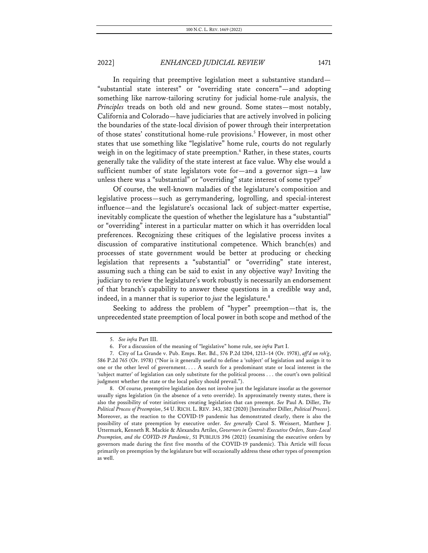In requiring that preemptive legislation meet a substantive standard— "substantial state interest" or "overriding state concern"—and adopting something like narrow-tailoring scrutiny for judicial home-rule analysis, the *Principles* treads on both old and new ground. Some states—most notably, California and Colorado—have judiciaries that are actively involved in policing the boundaries of the state-local division of power through their interpretation of those states' constitutional home-rule provisions.<sup>5</sup> However, in most other states that use something like "legislative" home rule, courts do not regularly weigh in on the legitimacy of state preemption.<sup>6</sup> Rather, in these states, courts generally take the validity of the state interest at face value. Why else would a sufficient number of state legislators vote for—and a governor sign—a law unless there was a "substantial" or "overriding" state interest of some type?<sup>7</sup>

Of course, the well-known maladies of the legislature's composition and legislative process—such as gerrymandering, logrolling, and special-interest influence—and the legislature's occasional lack of subject-matter expertise, inevitably complicate the question of whether the legislature has a "substantial" or "overriding" interest in a particular matter on which it has overridden local preferences. Recognizing these critiques of the legislative process invites a discussion of comparative institutional competence. Which branch(es) and processes of state government would be better at producing or checking legislation that represents a "substantial" or "overriding" state interest, assuming such a thing can be said to exist in any objective way? Inviting the judiciary to review the legislature's work robustly is necessarily an endorsement of that branch's capability to answer these questions in a credible way and, indeed, in a manner that is superior to *just* the legislature.<sup>8</sup>

Seeking to address the problem of "hyper" preemption—that is, the unprecedented state preemption of local power in both scope and method of the

<sup>5.</sup> *See infra* Part III.

<sup>6.</sup> For a discussion of the meaning of "legislative" home rule, see *infra* Part I.

<sup>7.</sup> City of La Grande v. Pub. Emps. Ret. Bd., 576 P.2d 1204, 1213–14 (Or. 1978), *aff'd on reh'g*, 586 P.2d 765 (Or. 1978) ("Nor is it generally useful to define a 'subject' of legislation and assign it to one or the other level of government. . . . A search for a predominant state or local interest in the 'subject matter' of legislation can only substitute for the political process . . . the court's own political judgment whether the state or the local policy should prevail.").

<sup>8.</sup> Of course, preemptive legislation does not involve just the legislature insofar as the governor usually signs legislation (in the absence of a veto override). In approximately twenty states, there is also the possibility of voter initiatives creating legislation that can preempt. *See* Paul A. Diller, *The Political Process of Preemption*, 54 U. RICH. L. REV. 343, 382 (2020) [hereinafter Diller, *Political Process*]. Moreover, as the reaction to the COVID-19 pandemic has demonstrated clearly, there is also the possibility of state preemption by executive order. *See generally* Carol S. Weissert, Matthew J. Uttermark, Kenneth R. Mackie & Alexandra Artiles, *Governors in Control: Executive Orders, State-Local Preemption, and the COVID-19 Pandemic*, 51 PUBLIUS 396 (2021) (examining the executive orders by governors made during the first five months of the COVID-19 pandemic). This Article will focus primarily on preemption by the legislature but will occasionally address these other types of preemption as well.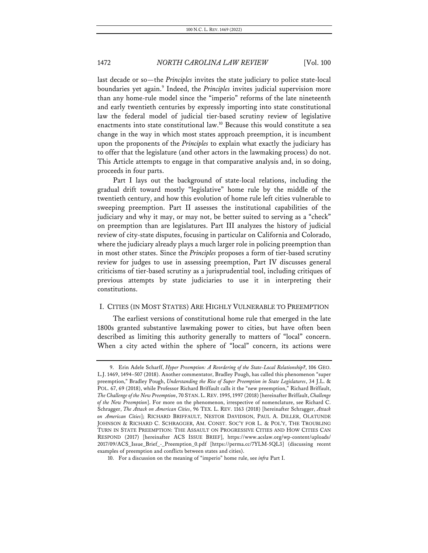last decade or so—the *Principles* invites the state judiciary to police state-local boundaries yet again.<sup>9</sup> Indeed, the *Principles* invites judicial supervision more than any home-rule model since the "imperio" reforms of the late nineteenth and early twentieth centuries by expressly importing into state constitutional law the federal model of judicial tier-based scrutiny review of legislative enactments into state constitutional law.10 Because this would constitute a sea change in the way in which most states approach preemption, it is incumbent upon the proponents of the *Principles* to explain what exactly the judiciary has to offer that the legislature (and other actors in the lawmaking process) do not. This Article attempts to engage in that comparative analysis and, in so doing, proceeds in four parts.

Part I lays out the background of state-local relations, including the gradual drift toward mostly "legislative" home rule by the middle of the twentieth century, and how this evolution of home rule left cities vulnerable to sweeping preemption. Part II assesses the institutional capabilities of the judiciary and why it may, or may not, be better suited to serving as a "check" on preemption than are legislatures. Part III analyzes the history of judicial review of city-state disputes, focusing in particular on California and Colorado, where the judiciary already plays a much larger role in policing preemption than in most other states. Since the *Principles* proposes a form of tier-based scrutiny review for judges to use in assessing preemption, Part IV discusses general criticisms of tier-based scrutiny as a jurisprudential tool, including critiques of previous attempts by state judiciaries to use it in interpreting their constitutions.

#### I. CITIES (IN MOST STATES) ARE HIGHLY VULNERABLE TO PREEMPTION

The earliest versions of constitutional home rule that emerged in the late 1800s granted substantive lawmaking power to cities, but have often been described as limiting this authority generally to matters of "local" concern. When a city acted within the sphere of "local" concern, its actions were

<sup>9.</sup> Erin Adele Scharff, *Hyper Preemption: A Reordering of the State-Local Relationship?*, 106 GEO. L.J. 1469, 1494–507 (2018). Another commentator, Bradley Pough, has called this phenomenon "super preemption," Bradley Pough, *Understanding the Rise of Super Preemption in State Legislatures*, 34 J.L. & POL. 67, 69 (2018), while Professor Richard Briffault calls it the "new preemption," Richard Briffault, *The Challenge of the New Preemption*, 70 STAN. L.REV. 1995, 1997 (2018) [hereinafter Briffault, *Challenge of the New Preemption*]. For more on the phenomenon, irrespective of nomenclature, see Richard C. Schragger, *The Attack on American Cities*, 96 TEX. L. REV. 1163 (2018) [hereinafter Schragger, *Attack on American Cities*]; RICHARD BRIFFAULT, NESTOR DAVIDSON, PAUL A. DILLER, OLATUNDE JOHNSON & RICHARD C. SCHRAGGER, AM. CONST. SOC'Y FOR L. & POL'Y, THE TROUBLING TURN IN STATE PREEMPTION: THE ASSAULT ON PROGRESSIVE CITIES AND HOW CITIES CAN RESPOND (2017) [hereinafter ACS ISSUE BRIEF], https://www.acslaw.org/wp-content/uploads/ 2017/09/ACS\_Issue\_Brief\_-\_Preemption\_0.pdf [https://perma.cc/7YLM-5QL3] (discussing recent examples of preemption and conflicts between states and cities).

<sup>10.</sup> For a discussion on the meaning of "imperio" home rule, see *infra* Part I.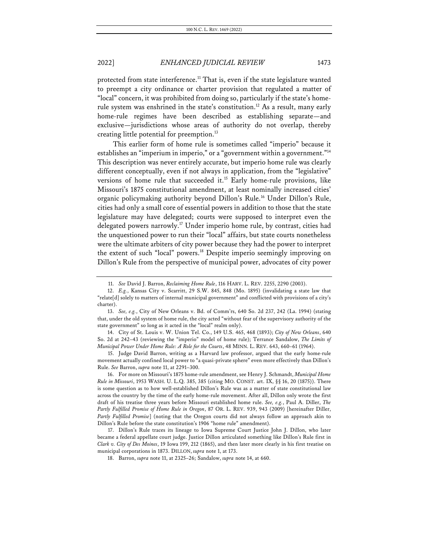protected from state interference.<sup>11</sup> That is, even if the state legislature wanted to preempt a city ordinance or charter provision that regulated a matter of "local" concern, it was prohibited from doing so, particularly if the state's homerule system was enshrined in the state's constitution.<sup>12</sup> As a result, many early home-rule regimes have been described as establishing separate—and exclusive—jurisdictions whose areas of authority do not overlap, thereby creating little potential for preemption.<sup>13</sup>

This earlier form of home rule is sometimes called "imperio" because it establishes an "imperium in imperio," or a "government within a government."<sup>14</sup> This description was never entirely accurate, but imperio home rule was clearly different conceptually, even if not always in application, from the "legislative" versions of home rule that succeeded it.<sup>15</sup> Early home-rule provisions, like Missouri's 1875 constitutional amendment, at least nominally increased cities' organic policymaking authority beyond Dillon's Rule.<sup>16</sup> Under Dillon's Rule, cities had only a small core of essential powers in addition to those that the state legislature may have delegated; courts were supposed to interpret even the delegated powers narrowly.<sup>17</sup> Under imperio home rule, by contrast, cities had the unquestioned power to run their "local" affairs, but state courts nonetheless were the ultimate arbiters of city power because they had the power to interpret the extent of such "local" powers.<sup>18</sup> Despite imperio seemingly improving on Dillon's Rule from the perspective of municipal power, advocates of city power

<sup>11.</sup> *See* David J. Barron, *Reclaiming Home Rule*, 116 HARV. L. REV. 2255, 2290 (2003).

<sup>12.</sup> *E.g.*, Kansas City v. Scarritt, 29 S.W. 845, 848 (Mo. 1895) (invalidating a state law that "relate[d] solely to matters of internal municipal government" and conflicted with provisions of a city's charter).

<sup>13.</sup> *See, e.g.*, City of New Orleans v. Bd. of Comm'rs, 640 So. 2d 237, 242 (La. 1994) (stating that, under the old system of home rule, the city acted "without fear of the supervisory authority of the state government" so long as it acted in the "local" realm only).

<sup>14.</sup> City of St. Louis v. W. Union Tel. Co., 149 U.S. 465, 468 (1893); *City of New Orleans*, 640 So. 2d at 242–43 (reviewing the "imperio" model of home rule); Terrance Sandalow, *The Limits of Municipal Power Under Home Rule: A Role for the Courts*, 48 MINN. L. REV. 643, 660–61 (1964).

<sup>15.</sup> Judge David Barron, writing as a Harvard law professor, argued that the early home-rule movement actually confined local power to "a quasi-private sphere" even more effectively than Dillon's Rule. *See* Barron, *supra* note 11, at 2291–300.

<sup>16.</sup> For more on Missouri's 1875 home-rule amendment, see Henry J. Schmandt, *Municipal Home Rule in Missouri*, 1953 WASH. U. L.Q. 385, 385 (citing MO. CONST. art. IX, §§ 16, 20 (1875)). There is some question as to how well-established Dillon's Rule was as a matter of state constitutional law across the country by the time of the early home-rule movement. After all, Dillon only wrote the first draft of his treatise three years before Missouri established home rule. *See, e.g.*, Paul A. Diller, *The Partly Fulfilled Promise of Home Rule in Oregon*, 87 OR. L. REV. 939, 943 (2009) [hereinafter Diller, *Partly Fulfilled Promise*] (noting that the Oregon courts did not always follow an approach akin to Dillon's Rule before the state constitution's 1906 "home rule" amendment).

<sup>17.</sup> Dillon's Rule traces its lineage to Iowa Supreme Court Justice John J. Dillon, who later became a federal appellate court judge. Justice Dillon articulated something like Dillon's Rule first in *Clark v. City of Des Moines*, 19 Iowa 199, 212 (1865), and then later more clearly in his first treatise on municipal corporations in 1873. DILLON, *supra* note 1, at 173.

<sup>18.</sup> Barron, *supra* note 11, at 2325–26; Sandalow, *supra* note 14, at 660.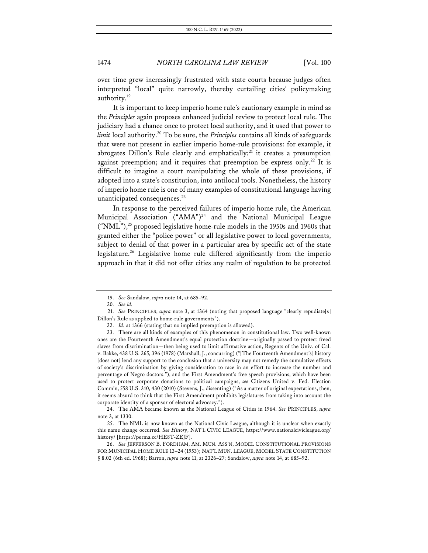over time grew increasingly frustrated with state courts because judges often interpreted "local" quite narrowly, thereby curtailing cities' policymaking authority.<sup>19</sup>

It is important to keep imperio home rule's cautionary example in mind as the *Principles* again proposes enhanced judicial review to protect local rule. The judiciary had a chance once to protect local authority, and it used that power to *limit* local authority.<sup>20</sup> To be sure, the *Principles* contains all kinds of safeguards that were not present in earlier imperio home-rule provisions: for example, it abrogates Dillon's Rule clearly and emphatically;<sup>21</sup> it creates a presumption against preemption; and it requires that preemption be express only.<sup>22</sup> It is difficult to imagine a court manipulating the whole of these provisions, if adopted into a state's constitution, into antilocal tools. Nonetheless, the history of imperio home rule is one of many examples of constitutional language having unanticipated consequences.<sup>23</sup>

In response to the perceived failures of imperio home rule, the American Municipal Association ("AMA")<sup>24</sup> and the National Municipal League  $({\rm 'NML''})$ ,<sup>25</sup> proposed legislative home-rule models in the 1950s and 1960s that granted either the "police power" or all legislative power to local governments, subject to denial of that power in a particular area by specific act of the state legislature.<sup>26</sup> Legislative home rule differed significantly from the imperio approach in that it did not offer cities any realm of regulation to be protected

<sup>19.</sup> *See* Sandalow, *supra* note 14, at 685–92.

<sup>20.</sup> *See id.*

<sup>21.</sup> *See* PRINCIPLES, *supra* note 3, at 1364 (noting that proposed language "clearly repudiate[s] Dillon's Rule as applied to home-rule governments").

<sup>22.</sup> *Id.* at 1366 (stating that no implied preemption is allowed).

<sup>23.</sup> There are all kinds of examples of this phenomenon in constitutional law. Two well-known ones are the Fourteenth Amendment's equal protection doctrine—originally passed to protect freed slaves from discrimination—then being used to limit affirmative action, Regents of the Univ. of Cal. v. Bakke, 438 U.S. 265, 396 (1978) (Marshall, J., concurring) ("[The Fourteenth Amendment's] history [does not] lend any support to the conclusion that a university may not remedy the cumulative effects of society's discrimination by giving consideration to race in an effort to increase the number and percentage of Negro doctors."), and the First Amendment's free speech provisions, which have been used to protect corporate donations to political campaigns, *see* Citizens United v. Fed. Election Comm'n, 558 U.S. 310, 430 (2010) (Stevens, J., dissenting) ("As a matter of original expectations, then, it seems absurd to think that the First Amendment prohibits legislatures from taking into account the corporate identity of a sponsor of electoral advocacy.").

<sup>24.</sup> The AMA became known as the National League of Cities in 1964. *See* PRINCIPLES, *supra* note 3, at 1330.

<sup>25.</sup> The NML is now known as the National Civic League, although it is unclear when exactly this name change occurred. *See History*, NAT'L CIVIC LEAGUE, https://www.nationalcivicleague.org/ history/ [https://perma.cc/HE8T-ZEJF].

<sup>26.</sup> *See* JEFFERSON B. FORDHAM, AM. MUN. ASS'N, MODEL CONSTITUTIONAL PROVISIONS FOR MUNICIPAL HOME RULE 13–24 (1953); NAT'L MUN. LEAGUE, MODEL STATE CONSTITUTION § 8.02 (6th ed. 1968); Barron, *supra* note 11, at 2326–27; Sandalow, *supra* note 14, at 685–92.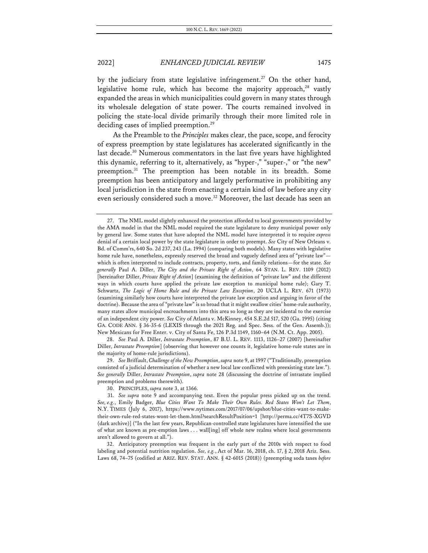by the judiciary from state legislative infringement.<sup>27</sup> On the other hand, legislative home rule, which has become the majority approach, $28$  vastly expanded the areas in which municipalities could govern in many states through its wholesale delegation of state power. The courts remained involved in policing the state-local divide primarily through their more limited role in deciding cases of implied preemption.<sup>29</sup>

As the Preamble to the *Principles* makes clear, the pace, scope, and ferocity of express preemption by state legislatures has accelerated significantly in the last decade.<sup>30</sup> Numerous commentators in the last five years have highlighted this dynamic, referring to it, alternatively, as "hyper-," "super-," or "the new" preemption.<sup>31</sup> The preemption has been notable in its breadth. Some preemption has been anticipatory and largely performative in prohibiting any local jurisdiction in the state from enacting a certain kind of law before any city even seriously considered such a move.<sup>32</sup> Moreover, the last decade has seen an

28. *See* Paul A. Diller, *Intrastate Preemption*, 87 B.U. L. REV. 1113, 1126–27 (2007) [hereinafter Diller, *Intrastate Preemption*] (observing that however one counts it, legislative home-rule states are in the majority of home-rule jurisdictions).

29. *See* Briffault, *Challenge of the New Preemption*, *supra* note 9, at 1997 ("Traditionally, preemption consisted of a judicial determination of whether a new local law conflicted with preexisting state law."). *See generally* Diller, *Intrastate Preemption*, *supra* note 28 (discussing the doctrine of intrastate implied preemption and problems therewith).

32. Anticipatory preemption was frequent in the early part of the 2010s with respect to food labeling and potential nutrition regulation. *See, e.g.*, Act of Mar. 16, 2018, ch. 17, § 2, 2018 Ariz. Sess. Laws 68, 74–75 (codified at ARIZ. REV. STAT. ANN. § 42-6015 (2018)) (preempting soda taxes *before*

<sup>27.</sup> The NML model slightly enhanced the protection afforded to local governments provided by the AMA model in that the NML model required the state legislature to deny municipal power only by general law. Some states that have adopted the NML model have interpreted it to require *express* denial of a certain local power by the state legislature in order to preempt. *See* City of New Orleans v. Bd. of Comm'rs, 640 So. 2d 237, 243 (La. 1994) (comparing both models). Many states with legislative home rule have, nonetheless, expressly reserved the broad and vaguely defined area of "private law" which is often interpreted to include contracts, property, torts, and family relations—for the state. *See generally* Paul A. Diller, *The City and the Private Right of Action*, 64 STAN. L. REV. 1109 (2012) [hereinafter Diller, *Private Right of Action*] (examining the definition of "private law" and the different ways in which courts have applied the private law exception to municipal home rule); Gary T. Schwartz, *The Logic of Home Rule and the Private Law Exception*, 20 UCLA L. REV. 671 (1973) (examining similarly how courts have interpreted the private law exception and arguing in favor of the doctrine). Because the area of "private law" is so broad that it might swallow cities' home-rule authority, many states allow municipal encroachments into this area so long as they are incidental to the exercise of an independent city power. *See* City of Atlanta v. McKinney, 454 S.E.2d 517, 520 (Ga. 1995) (citing GA. CODE ANN. § 36-35-6 (LEXIS through the 2021 Reg. and Spec. Sess. of the Gen. Assemb.)); New Mexicans for Free Enter. v. City of Santa Fe, 126 P.3d 1149, 1160–64 (N.M. Ct. App. 2005).

<sup>30.</sup> PRINCIPLES, *supra* note 3, at 1366.

<sup>31.</sup> *See supra* note 9 and accompanying text. Even the popular press picked up on the trend. *See, e.g.*, Emily Badger, *Blue Cities Want To Make Their Own Rules. Red States Won't Let Them*, N.Y. TIMES (July 6, 2017), https://www.nytimes.com/2017/07/06/upshot/blue-cities-want-to-maketheir-own-rule-red-states-wont-let-them.html?searchResultPosition=1 [http://perma.cc/4T7S-XGVD (dark archive)] ("In the last few years, Republican-controlled state legislatures have intensified the use of what are known as pre-emption laws . . . wall[ing] off whole new realms where local governments aren't allowed to govern at all.").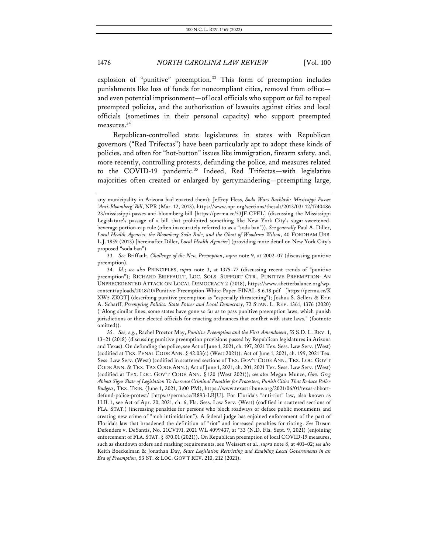explosion of "punitive" preemption.<sup>33</sup> This form of preemption includes punishments like loss of funds for noncompliant cities, removal from office and even potential imprisonment—of local officials who support or fail to repeal preempted policies, and the authorization of lawsuits against cities and local officials (sometimes in their personal capacity) who support preempted measures.<sup>34</sup>

Republican-controlled state legislatures in states with Republican governors ("Red Trifectas") have been particularly apt to adopt these kinds of policies, and often for "hot-button" issues like immigration, firearm safety, and, more recently, controlling protests, defunding the police, and measures related to the COVID-19 pandemic.<sup>35</sup> Indeed, Red Trifectas—with legislative majorities often created or enlarged by gerrymandering—preempting large,

any municipality in Arizona had enacted them); Jeffrey Hess, *Soda Wars Backlash: Mississippi Passes 'Anti-Bloomberg' Bill*, NPR (Mar. 12, 2013), https://www.npr.org/sections/thesalt/2013/03/ 12/1740486 23/mississippi-passes-anti-bloomberg-bill [https://perma.cc/53JF-CPEL] (discussing the Mississippi Legislature's passage of a bill that prohibited something like New York City's sugar-sweetenedbeverage portion-cap rule (often inaccurately referred to as a "soda ban")). *See generally* Paul A. Diller, *Local Health Agencies, the Bloomberg Soda Rule, and the Ghost of Woodrow Wilson*, 40 FORDHAM URB. L.J. 1859 (2013) [hereinafter Diller, *Local Health Agencies*] (providing more detail on New York City's proposed "soda ban").

<sup>33.</sup> *See* Briffault, *Challenge of the New Preemption*, *supra* note 9, at 2002–07 (discussing punitive preemption).

<sup>34.</sup> *Id.*; *see also* PRINCIPLES, *supra* note 3, at 1375–77 (discussing recent trends of "punitive preemption"); RICHARD BRIFFAULT, LOC. SOLS. SUPPORT CTR., PUNITIVE PREEMPTION: AN UNPRECEDENTED ATTACK ON LOCAL DEMOCRACY 2 (2018), https://www.abetterbalance.org/wpcontent/uploads/2018/10/Punitive-Preemption-White-Paper-FINAL-8.6.18.pdf [https://perma.cc/K XW5-ZKGT] (describing punitive preemption as "especially threatening"); Joshua S. Sellers & Erin A. Scharff, *Preempting Politics: State Power and Local Democracy*, 72 STAN. L. REV. 1361, 1376 (2020) ("Along similar lines, some states have gone so far as to pass punitive preemption laws, which punish jurisdictions or their elected officials for enacting ordinances that conflict with state laws." (footnote omitted)).

<sup>35.</sup> *See, e.g.*, Rachel Proctor May, *Punitive Preemption and the First Amendment*, 55 S.D. L. REV. 1, 13–21 (2018) (discussing punitive preemption provisions passed by Republican legislatures in Arizona and Texas). On defunding the police, see Act of June 1, 2021, ch. 197, 2021 Tex. Sess. Law Serv. (West) (codified at TEX. PENAL CODE ANN. § 42.03(c) (West 2021)); Act of June 1, 2021, ch. 199, 2021 Tex. Sess. Law Serv. (West) (codified in scattered sections of TEX. GOV'T CODE ANN., TEX. LOC. GOV'T CODE ANN. & TEX. TAX CODE ANN.); Act of June 1, 2021, ch. 201, 2021 Tex. Sess. Law Serv. (West) (codified at TEX. LOC. GOV'T CODE ANN. § 120 (West 2021)); *see also* Megan Munce, *Gov. Greg Abbott Signs Slate of Legislation To Increase Criminal Penalties for Protesters, Punish Cities That Reduce Police Budgets*, TEX. TRIB. (June 1, 2021, 3:00 PM), https://www.texastribune.org/2021/06/01/texas-abbottdefund-police-protest/ [https://perma.cc/R893-LRJU]. For Florida's "anti-riot" law, also known as H.B. 1, see Act of Apr. 20, 2021, ch. 6, Fla. Sess. Law Serv. (West) (codified in scattered sections of FLA. STAT.) (increasing penalties for persons who block roadways or deface public monuments and creating new crime of "mob intimidation"). A federal judge has enjoined enforcement of the part of Florida's law that broadened the definition of "riot" and increased penalties for rioting. *See* Dream Defenders v. DeSantis, No. 21CV191, 2021 WL 4099437, at \*33 (N.D. Fla. Sept. 9, 2021) (enjoining enforcement of FLA. STAT. § 870.01 (2021)). On Republican preemption of local COVID-19 measures, such as shutdown orders and masking requirements, see Weissert et al., *supra* note 8, at 401–02; *see also* Keith Boeckelman & Jonathan Day, *State Legislation Restricting and Enabling Local Governments in an Era of Preemption*, 53 ST. & LOC. GOV'T REV. 210, 212 (2021).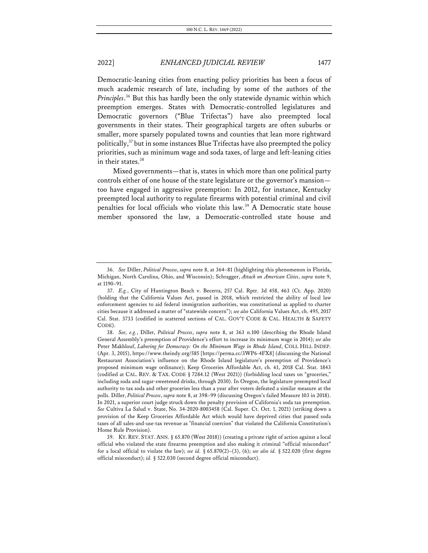Democratic-leaning cities from enacting policy priorities has been a focus of much academic research of late, including by some of the authors of the *Principles*. <sup>36</sup> But this has hardly been the only statewide dynamic within which preemption emerges. States with Democratic-controlled legislatures and Democratic governors ("Blue Trifectas") have also preempted local governments in their states. Their geographical targets are often suburbs or smaller, more sparsely populated towns and counties that lean more rightward politically,37 but in some instances Blue Trifectas have also preempted the policy priorities, such as minimum wage and soda taxes, of large and left-leaning cities in their states.<sup>38</sup>

Mixed governments—that is, states in which more than one political party controls either of one house of the state legislature or the governor's mansion too have engaged in aggressive preemption: In 2012, for instance, Kentucky preempted local authority to regulate firearms with potential criminal and civil penalties for local officials who violate this law.39 A Democratic state house member sponsored the law, a Democratic-controlled state house and

<sup>36.</sup> *See* Diller, *Political Process*, *supra* note 8, at 364–81 (highlighting this phenomenon in Florida, Michigan, North Carolina, Ohio, and Wisconsin); Schragger, *Attack on American Cities*, *supra* note 9, at 1190–91.

<sup>37.</sup> *E.g.*, City of Huntington Beach v. Becerra, 257 Cal. Rptr. 3d 458, 463 (Ct. App. 2020) (holding that the California Values Act, passed in 2018, which restricted the ability of local law enforcement agencies to aid federal immigration authorities, was constitutional as applied to charter cities because it addressed a matter of "statewide concern"); *see also* California Values Act, ch. 495, 2017 Cal. Stat. 3733 (codified in scattered sections of CAL. GOV'T CODE & CAL. HEALTH & SAFETY CODE)

<sup>38.</sup> *See, e.g.*, Diller, *Political Process*, *supra* note 8, at 363 n.100 (describing the Rhode Island General Assembly's preemption of Providence's effort to increase its minimum wage in 2014); *see also*  Peter Makhlouf, *Laboring for Democracy: On the Minimum Wage in Rhode Island*, COLL HILL INDEP. (Apr. 3, 2015), https://www.theindy.org/585 [https://perma.cc/3WP6-4FX8] (discussing the National Restaurant Association's influence on the Rhode Island legislature's preemption of Providence's proposed minimum wage ordinance); Keep Groceries Affordable Act, ch. 61, 2018 Cal. Stat. 1843 (codified at CAL. REV. & TAX. CODE § 7284.12 (West 2021)) (forbidding local taxes on "groceries," including soda and sugar-sweetened drinks, through 2030). In Oregon, the legislature preempted local authority to tax soda and other groceries less than a year after voters defeated a similar measure at the polls. Diller, *Political Process*, *supra* note 8, at 398–99 (discussing Oregon's failed Measure 103 in 2018). In 2021, a superior court judge struck down the penalty provision of California's soda tax preemption. *See* Cultiva La Salud v. State, No. 34-2020-8003458 (Cal. Super. Ct. Oct. 1, 2021) (striking down a provision of the Keep Groceries Affordable Act which would have deprived cities that passed soda taxes of all sales-and-use-tax revenue as "financial coercion" that violated the California Constitution's Home Rule Provision).

<sup>39.</sup> KY. REV. STAT. ANN. § 65.870 (West 2018)) (creating a private right of action against a local official who violated the state firearms preemption and also making it criminal "official misconduct" for a local official to violate the law); *see id.* § 65.870(2)–(3), (6); *see also id.* § 522.020 (first degree official misconduct); *id.* § 522.030 (second degree official misconduct).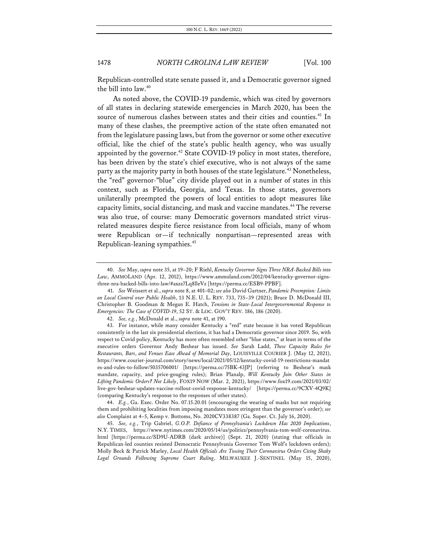Republican-controlled state senate passed it, and a Democratic governor signed the bill into law.40

As noted above, the COVID-19 pandemic, which was cited by governors of all states in declaring statewide emergencies in March 2020, has been the source of numerous clashes between states and their cities and counties.<sup>41</sup> In many of these clashes, the preemptive action of the state often emanated not from the legislature passing laws, but from the governor or some other executive official, like the chief of the state's public health agency, who was usually appointed by the governor.<sup>42</sup> State COVID-19 policy in most states, therefore, has been driven by the state's chief executive, who is not always of the same party as the majority party in both houses of the state legislature.<sup>43</sup> Nonetheless, the "red" governor-"blue" city divide played out in a number of states in this context, such as Florida, Georgia, and Texas. In those states, governors unilaterally preempted the powers of local entities to adopt measures like capacity limits, social distancing, and mask and vaccine mandates.<sup>44</sup> The reverse was also true, of course: many Democratic governors mandated strict virusrelated measures despite fierce resistance from local officials, many of whom were Republican or—if technically nonpartisan—represented areas with Republican-leaning sympathies.45

<sup>40.</sup> *See* May, *supra* note 35, at 19–20; F Riehl, *Kentucky Governor Signs Three NRA-Backed Bills into Law*, AMMOLAND (Apr. 12, 2012), https://www.ammoland.com/2012/04/kentucky-governor-signsthree-nra-backed-bills-into-law/#axzz7Lq8lleVz [https://perma.cc/ESB9-PPBF].

<sup>41.</sup> *See* Weissert et al., *supra* note 8, at 401–02; *see also* David Gartner, *Pandemic Preemption: Limits on Local Control over Public Health*, 13 N.E. U. L. REV. 733, 735–39 (2021); Bruce D. McDonald III, Christopher B. Goodman & Megan E. Hatch, *Tensions in State-Local Intergovernmental Response to Emergencies: The Case of COVID-19*, 52 ST. & LOC. GOV'T REV. 186, 186 (2020).

<sup>42.</sup> *See, e.g.*, McDonald et al., *supra* note 41, at 190.

<sup>43.</sup> For instance, while many consider Kentucky a "red" state because it has voted Republican consistently in the last six presidential elections, it has had a Democratic governor since 2019. So, with respect to Covid policy, Kentucky has more often resembled other "blue states," at least in terms of the executive orders Governor Andy Beshear has issued. *See* Sarah Ladd, *These Capacity Rules for Restaurants, Bars*, *and Venues Ease Ahead of Memorial Day*, LOUISVILLE COURIER J. (May 12, 2021), https://www.courier-journal.com/story/news/local/2021/05/12/kentucky-covid-19-restrictions-mandat es-and-rules-to-follow/5035706001/ [https://perma.cc/75BK-43JP] (referring to Beshear's mask mandate, capacity, and price-gouging rules); Brian Planalp, *Will Kentucky Join Other States in Lifting Pandemic Orders? Not Likely*, FOX19 NOW (Mar. 2, 2021), https://www.fox19.com/2021/03/02/ live-gov-beshear-updates-vaccine-rollout-covid-response-kentucky/ [https://perma.cc/9CXV-4Q9K] (comparing Kentucky's response to the responses of other states).

<sup>44.</sup> *E.g.*, Ga. Exec. Order No. 07.15.20.01 (encouraging the wearing of masks but not requiring them and prohibiting localities from imposing mandates more stringent than the governor's order); *see also* Complaint at 4–5, Kemp v. Bottoms, No. 2020CV338387 (Ga. Super. Ct. July 16, 2020).

<sup>45.</sup> *See, e.g.*, Trip Gabriel, *G.O.P. Defiance of Pennsylvania's Lockdown Has 2020 Implications*, N.Y. TIMES, https://www.nytimes.com/2020/05/14/us/politics/pennsylvania-tom-wolf-coronavirus. html [https://perma.cc/SD9U-ADRB (dark archive)] (Sept. 21, 2020) (stating that officials in Republican-led counties resisted Democratic Pennsylvania Governor Tom Wolf's lockdown orders); Molly Beck & Patrick Marley, *Local Health Officials Are Tossing Their Coronavirus Orders Citing Shaky Legal Grounds Following Supreme Court Ruling*, MILWAUKEE J.-SENTINEL (May 15, 2020),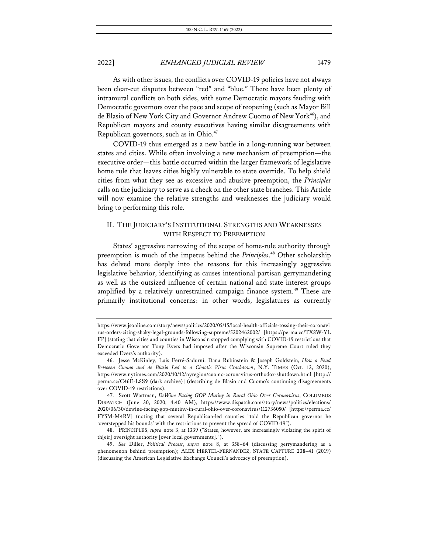As with other issues, the conflicts over COVID-19 policies have not always been clear-cut disputes between "red" and "blue." There have been plenty of intramural conflicts on both sides, with some Democratic mayors feuding with Democratic governors over the pace and scope of reopening (such as Mayor Bill de Blasio of New York City and Governor Andrew Cuomo of New York<sup>46</sup>), and Republican mayors and county executives having similar disagreements with Republican governors, such as in Ohio.<sup>47</sup>

COVID-19 thus emerged as a new battle in a long-running war between states and cities. While often involving a new mechanism of preemption—the executive order—this battle occurred within the larger framework of legislative home rule that leaves cities highly vulnerable to state override. To help shield cities from what they see as excessive and abusive preemption, the *Principles* calls on the judiciary to serve as a check on the other state branches. This Article will now examine the relative strengths and weaknesses the judiciary would bring to performing this role.

### II. THE JUDICIARY'S INSTITUTIONAL STRENGTHS AND WEAKNESSES WITH RESPECT TO PREEMPTION

States' aggressive narrowing of the scope of home-rule authority through preemption is much of the impetus behind the *Principles*. <sup>48</sup> Other scholarship has delved more deeply into the reasons for this increasingly aggressive legislative behavior, identifying as causes intentional partisan gerrymandering as well as the outsized influence of certain national and state interest groups amplified by a relatively unrestrained campaign finance system.<sup>49</sup> These are primarily institutional concerns: in other words, legislatures as currently

48. PRINCIPLES, *supra* note 3, at 1339 ("States, however, are increasingly violating the spirit of th[eir] oversight authority [over local governments].").

https://www.jsonline.com/story/news/politics/2020/05/15/local-health-officials-tossing-their-coronavi rus-orders-citing-shaky-legal-grounds-following-supreme/5202462002/ [https://perma.cc/TX8W-YL FP] (stating that cities and counties in Wisconsin stopped complying with COVID-19 restrictions that Democratic Governor Tony Evers had imposed after the Wisconsin Supreme Court ruled they exceeded Evers's authority).

<sup>46.</sup> Jesse McKinley, Luis Ferré-Sadurní, Dana Rubinstein & Joseph Goldstein, *How a Feud Between Cuomo and de Blasio Led to a Chaotic Virus Crackdown*, N.Y. TIMES (Oct. 12, 2020), https://www.nytimes.com/2020/10/12/nyregion/cuomo-coronavirus-orthodox-shutdown.html [http:// perma.cc/C46E-L8S9 (dark archive)] (describing de Blasio and Cuomo's continuing disagreements over COVID-19 restrictions).

<sup>47.</sup> Scott Wartman, *DeWine Facing GOP Mutiny in Rural Ohio Over Coronavirus*, COLUMBUS DISPATCH (June 30, 2020, 4:40 AM), https://www.dispatch.com/story/news/politics/elections/ 2020/06/30/dewine-facing-gop-mutiny-in-rural-ohio-over-coronavirus/112736050/ [https://perma.cc/ FY5M-M4RV] (noting that several Republican-led counties "told the Republican governor he 'overstepped his bounds' with the restrictions to prevent the spread of COVID-19").

<sup>49.</sup> *See* Diller, *Political Process*, *supra* note 8, at 358–64 (discussing gerrymandering as a phenomenon behind preemption); ALEX HERTEL-FERNANDEZ, STATE CAPTURE 238–41 (2019) (discussing the American Legislative Exchange Council's advocacy of preemption).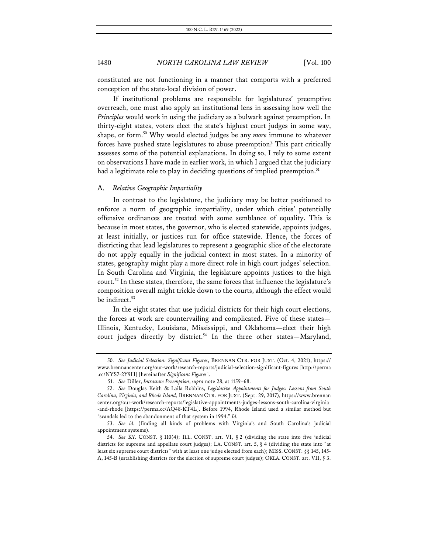constituted are not functioning in a manner that comports with a preferred conception of the state-local division of power.

If institutional problems are responsible for legislatures' preemptive overreach, one must also apply an institutional lens in assessing how well the *Principles* would work in using the judiciary as a bulwark against preemption. In thirty-eight states, voters elect the state's highest court judges in some way, shape, or form.50 Why would elected judges be any *more* immune to whatever forces have pushed state legislatures to abuse preemption? This part critically assesses some of the potential explanations. In doing so, I rely to some extent on observations I have made in earlier work, in which I argued that the judiciary had a legitimate role to play in deciding questions of implied preemption.<sup>51</sup>

#### A. *Relative Geographic Impartiality*

In contrast to the legislature, the judiciary may be better positioned to enforce a norm of geographic impartiality, under which cities' potentially offensive ordinances are treated with some semblance of equality. This is because in most states, the governor, who is elected statewide, appoints judges, at least initially, or justices run for office statewide. Hence, the forces of districting that lead legislatures to represent a geographic slice of the electorate do not apply equally in the judicial context in most states. In a minority of states, geography might play a more direct role in high court judges' selection. In South Carolina and Virginia, the legislature appoints justices to the high court.<sup>52</sup> In these states, therefore, the same forces that influence the legislature's composition overall might trickle down to the courts, although the effect would be indirect.<sup>53</sup>

In the eight states that use judicial districts for their high court elections, the forces at work are countervailing and complicated. Five of these states— Illinois, Kentucky, Louisiana, Mississippi, and Oklahoma—elect their high court judges directly by district.<sup>54</sup> In the three other states—Maryland,

<sup>50.</sup> *See Judicial Selection: Significant Figures*, BRENNAN CTR. FOR JUST. (Oct. 4, 2021), https:// www.brennancenter.org/our-work/research-reports/judicial-selection-significant-figures [http://perma .cc/NYS7-2Y9H] [hereinafter *Significant Figures*].

<sup>51.</sup> *See* Diller, *Intrastate Preemption*, *supra* note 28, at 1159–68.

<sup>52.</sup> *See* Douglas Keith & Laila Robbins, *Legislative Appointments for Judges: Lessons from South Carolina, Virginia, and Rhode Island*, BRENNAN CTR. FOR JUST. (Sept. 29, 2017), https://www.brennan center.org/our-work/research-reports/legislative-appointments-judges-lessons-south-carolina-virginia -and-rhode [https://perma.cc/AQ48-KT4L]. Before 1994, Rhode Island used a similar method but "scandals led to the abandonment of that system in 1994." *Id.*

<sup>53.</sup> *See id.* (finding all kinds of problems with Virginia's and South Carolina's judicial appointment systems).

<sup>54.</sup> *See* KY. CONST. § 110(4); ILL. CONST. art. VI, § 2 (dividing the state into five judicial districts for supreme and appellate court judges); LA. CONST. art. 5, § 4 (dividing the state into "at least six supreme court districts" with at least one judge elected from each); MISS. CONST. §§ 145, 145- A, 145-B (establishing districts for the election of supreme court judges); OKLA. CONST. art. VII, § 3.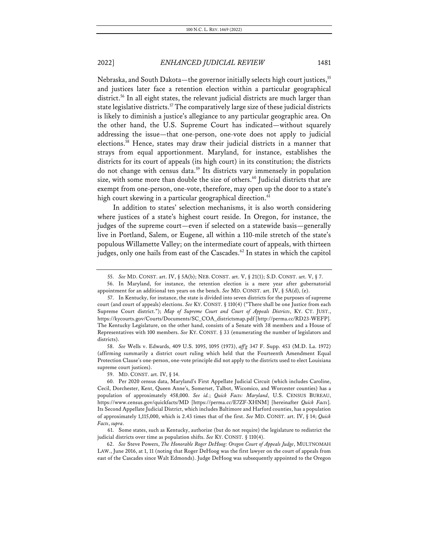Nebraska, and South Dakota—the governor initially selects high court justices,<sup>55</sup> and justices later face a retention election within a particular geographical district.<sup>56</sup> In all eight states, the relevant judicial districts are much larger than state legislative districts.<sup>57</sup> The comparatively large size of these judicial districts is likely to diminish a justice's allegiance to any particular geographic area. On the other hand, the U.S. Supreme Court has indicated—without squarely addressing the issue—that one-person, one-vote does not apply to judicial elections.58 Hence, states may draw their judicial districts in a manner that strays from equal apportionment. Maryland, for instance, establishes the districts for its court of appeals (its high court) in its constitution; the districts do not change with census data.59 Its districts vary immensely in population size, with some more than double the size of others.<sup>60</sup> Judicial districts that are exempt from one-person, one-vote, therefore, may open up the door to a state's high court skewing in a particular geographical direction.<sup>61</sup>

In addition to states' selection mechanisms, it is also worth considering where justices of a state's highest court reside. In Oregon, for instance, the judges of the supreme court—even if selected on a statewide basis—generally live in Portland, Salem, or Eugene, all within a 110-mile stretch of the state's populous Willamette Valley; on the intermediate court of appeals, with thirteen judges, only one hails from east of the Cascades.<sup>62</sup> In states in which the capitol

58. *See* Wells v. Edwards, 409 U.S. 1095, 1095 (1973), *aff'g* 347 F. Supp. 453 (M.D. La. 1972) (affirming summarily a district court ruling which held that the Fourteenth Amendment Equal Protection Clause's one-person, one-vote principle did not apply to the districts used to elect Louisiana supreme court justices).

59. MD. CONST. art. IV, § 14.

<sup>55.</sup> *See* MD. CONST. art. IV, § 5A(b); NEB. CONST. art. V, § 21(1); S.D. CONST. art. V, § 7.

<sup>56.</sup> In Maryland, for instance, the retention election is a mere year after gubernatorial appointment for an additional ten years on the bench. *See* MD. CONST. art. IV, § 5A(d), (e).

<sup>57.</sup> In Kentucky, for instance, the state is divided into seven districts for the purposes of supreme court (and court of appeals) elections. *See* KY. CONST. § 110(4) ("There shall be one Justice from each Supreme Court district."); *Map of Supreme Court and Court of Appeals Districts*, KY. CT. JUST., https://kycourts.gov/Courts/Documents/SC\_COA\_districtsmap.pdf [http://perma.cc/RD23-WEFP]. The Kentucky Legislature, on the other hand, consists of a Senate with 38 members and a House of Representatives with 100 members. *See* KY. CONST. § 33 (enumerating the number of legislators and districts).

<sup>60.</sup> Per 2020 census data, Maryland's First Appellate Judicial Circuit (which includes Caroline, Cecil, Dorchester, Kent, Queen Anne's, Somerset, Talbot, Wicomico, and Worcester counties) has a population of approximately 458,000. *See id.*; *Quick Facts: Maryland*, U.S. CENSUS BUREAU, https://www.census.gov/quickfacts/MD [https://perma.cc/E7ZF-XHNM] [hereinafter *Quick Facts*]. Its Second Appellate Judicial District, which includes Baltimore and Harford counties, has a population of approximately 1,115,000, which is 2.43 times that of the first. *See* MD. CONST. art. IV, § 14; *Quick Facts*, *supra*.

<sup>61.</sup> Some states, such as Kentucky, authorize (but do not require) the legislature to redistrict the judicial districts over time as population shifts. *See* KY. CONST. § 110(4).

<sup>62.</sup> *See* Steve Powers, *The Honorable Roger DeHoog: Oregon Court of Appeals Judge*, MULTNOMAH LAW., June 2016, at 1, 11 (noting that Roger DeHoog was the first lawyer on the court of appeals from east of the Cascades since Walt Edmonds). Judge DeHoog was subsequently appointed to the Oregon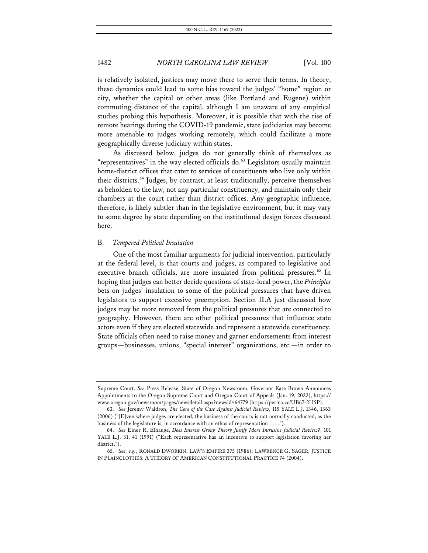is relatively isolated, justices may move there to serve their terms. In theory, these dynamics could lead to some bias toward the judges' "home" region or city, whether the capital or other areas (like Portland and Eugene) within commuting distance of the capital, although I am unaware of any empirical studies probing this hypothesis. Moreover, it is possible that with the rise of remote hearings during the COVID-19 pandemic, state judiciaries may become more amenable to judges working remotely, which could facilitate a more geographically diverse judiciary within states.

As discussed below, judges do not generally think of themselves as "representatives" in the way elected officials do. $63$  Legislators usually maintain home-district offices that cater to services of constituents who live only within their districts.<sup>64</sup> Judges, by contrast, at least traditionally, perceive themselves as beholden to the law, not any particular constituency, and maintain only their chambers at the court rather than district offices. Any geographic influence, therefore, is likely subtler than in the legislative environment, but it may vary to some degree by state depending on the institutional design forces discussed here.

#### B. *Tempered Political Insulation*

One of the most familiar arguments for judicial intervention, particularly at the federal level, is that courts and judges, as compared to legislative and executive branch officials, are more insulated from political pressures.<sup>65</sup> In hoping that judges can better decide questions of state-local power, the *Principles* bets on judges' insulation to some of the political pressures that have driven legislators to support excessive preemption. Section II.A just discussed how judges may be more removed from the political pressures that are connected to geography. However, there are other political pressures that influence state actors even if they are elected statewide and represent a statewide constituency. State officials often need to raise money and garner endorsements from interest groups—businesses, unions, "special interest" organizations, etc.—in order to

Supreme Court. *See* Press Release, State of Oregon Newsroom, Governor Kate Brown Announces Appointments to the Oregon Supreme Court and Oregon Court of Appeals (Jan. 19, 2022), https:// www.oregon.gov/newsroom/pages/newsdetail.aspx?newsid=64779 [https://perma.cc/UB67-2H5P].

<sup>63.</sup> *See* Jeremy Waldron, *The Core of the Case Against Judicial Review*, 115 YALE L.J. 1346, 1363 (2006) ("[E]ven where judges are elected, the business of the courts is not normally conducted, as the business of the legislature is, in accordance with an ethos of representation . . . .").

<sup>64.</sup> *See* Einer R. Elhauge, *Does Interest Group Theory Justify More Intrusive Judicial Review?*, 101 YALE L.J. 31, 41 (1991) ("Each representative has an incentive to support legislation favoring her district.").

<sup>65.</sup> *See, e.g.*, RONALD DWORKIN, LAW'S EMPIRE 375 (1986); LAWRENCE G. SAGER, JUSTICE IN PLAINCLOTHES: A THEORY OF AMERICAN CONSTITUTIONAL PRACTICE 74 (2004).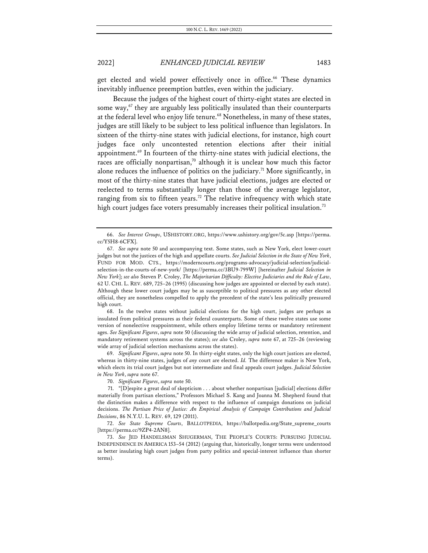get elected and wield power effectively once in office.<sup>66</sup> These dynamics inevitably influence preemption battles, even within the judiciary.

Because the judges of the highest court of thirty-eight states are elected in some way, $67$  they are arguably less politically insulated than their counterparts at the federal level who enjoy life tenure.<sup>68</sup> Nonetheless, in many of these states, judges are still likely to be subject to less political influence than legislators. In sixteen of the thirty-nine states with judicial elections, for instance, high court judges face only uncontested retention elections after their initial appointment.69 In fourteen of the thirty-nine states with judicial elections, the races are officially nonpartisan, $70$  although it is unclear how much this factor alone reduces the influence of politics on the judiciary.<sup>71</sup> More significantly, in most of the thirty-nine states that have judicial elections, judges are elected or reelected to terms substantially longer than those of the average legislator, ranging from six to fifteen years.<sup>72</sup> The relative infrequency with which state high court judges face voters presumably increases their political insulation.<sup>73</sup>

68. In the twelve states without judicial elections for the high court, judges are perhaps as insulated from political pressures as their federal counterparts. Some of these twelve states use some version of nonelective reappointment, while others employ lifetime terms or mandatory retirement ages. *See Significant Figures*, *supra* note 50 (discussing the wide array of judicial selection, retention, and mandatory retirement systems across the states); *see also* Croley, *supra* note 67, at 725–26 (reviewing wide array of judicial selection mechanisms across the states).

69. *Significant Figures*, *supra* note 50. In thirty-eight states, only the high court justices are elected, whereas in thirty-nine states, judges of *any* court are elected. *Id.* The difference maker is New York, which elects its trial court judges but not intermediate and final appeals court judges. *Judicial Selection in New York*, *supra* note 67.

72. *See State Supreme Courts*, BALLOTPEDIA, https://ballotpedia.org/State\_supreme\_courts [https://perma.cc/9ZP4-2AN8].

<sup>66.</sup> *See Interest Groups*, USHISTORY.ORG, https://www.ushistory.org/gov/5c.asp [https://perma. cc/Y5H8-6CFX].

<sup>67.</sup> *See supra* note 50 and accompanying text. Some states, such as New York, elect lower-court judges but not the justices of the high and appellate courts. *See Judicial Selection in the State of New York*, FUND FOR MOD. CTS., https://moderncourts.org/programs-advocacy/judicial-selection/judicialselection-in-the-courts-of-new-york/ [https://perma.cc/3BU9-799W] [hereinafter *Judicial Selection in New York*]; *see also* Steven P. Croley, *The Majoritarian Difficulty: Elective Judiciaries and the Rule of Law*, 62 U. CHI. L. REV. 689, 725–26 (1995) (discussing how judges are appointed or elected by each state). Although these lower court judges may be as susceptible to political pressures as any other elected official, they are nonetheless compelled to apply the precedent of the state's less politically pressured high court.

<sup>70.</sup> *Significant Figures*, *supra* note 50.

<sup>71.</sup> "[D]espite a great deal of skepticism . . . about whether nonpartisan [judicial] elections differ materially from partisan elections," Professors Michael S. Kang and Joanna M. Shepherd found that the distinction makes a difference with respect to the influence of campaign donations on judicial decisions. *The Partisan Price of Justice: An Empirical Analysis of Campaign Contributions and Judicial Decisions*, 86 N.Y.U. L. REV. 69, 129 (2011).

<sup>73.</sup> *See* JED HANDELSMAN SHUGERMAN, THE PEOPLE'S COURTS: PURSUING JUDICIAL INDEPENDENCE IN AMERICA 153–54 (2012) (arguing that, historically, longer terms were understood as better insulating high court judges from party politics and special-interest influence than shorter terms).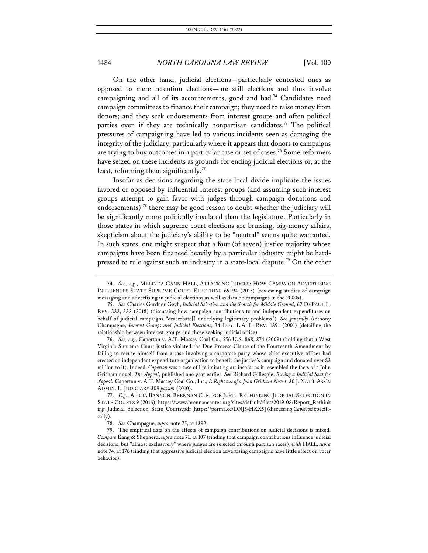On the other hand, judicial elections—particularly contested ones as opposed to mere retention elections—are still elections and thus involve campaigning and all of its accoutrements, good and bad.<sup>74</sup> Candidates need campaign committees to finance their campaign; they need to raise money from donors; and they seek endorsements from interest groups and often political parties even if they are technically nonpartisan candidates.<sup>75</sup> The political pressures of campaigning have led to various incidents seen as damaging the integrity of the judiciary, particularly where it appears that donors to campaigns are trying to buy outcomes in a particular case or set of cases.<sup>76</sup> Some reformers have seized on these incidents as grounds for ending judicial elections or, at the least, reforming them significantly.<sup>77</sup>

Insofar as decisions regarding the state-local divide implicate the issues favored or opposed by influential interest groups (and assuming such interest groups attempt to gain favor with judges through campaign donations and endorsements),<sup>78</sup> there may be good reason to doubt whether the judiciary will be significantly more politically insulated than the legislature. Particularly in those states in which supreme court elections are bruising, big-money affairs, skepticism about the judiciary's ability to be "neutral" seems quite warranted. In such states, one might suspect that a four (of seven) justice majority whose campaigns have been financed heavily by a particular industry might be hardpressed to rule against such an industry in a state-local dispute.<sup>79</sup> On the other

76. *See, e.g.*, Caperton v. A.T. Massey Coal Co., 556 U.S. 868, 874 (2009) (holding that a West Virginia Supreme Court justice violated the Due Process Clause of the Fourteenth Amendment by failing to recuse himself from a case involving a corporate party whose chief executive officer had created an independent expenditure organization to benefit the justice's campaign and donated over \$3 million to it). Indeed, *Caperton* was a case of life imitating art insofar as it resembled the facts of a John Grisham novel, *The Appeal*, published one year earlier. *See* Richard Gillespie, *Buying a Judicial Seat for Appeal:* Caperton v. A.T. Massey Coal Co., Inc.*, Is Right out of a John Grisham Novel*, 30 J. NAT'L ASS'N ADMIN. L. JUDICIARY 309 *passim* (2010).

<sup>74.</sup> *See, e.g.*, MELINDA GANN HALL, ATTACKING JUDGES: HOW CAMPAIGN ADVERTISING INFLUENCES STATE SUPREME COURT ELECTIONS 65–94 (2015) (reviewing studies of campaign messaging and advertising in judicial elections as well as data on campaigns in the 2000s).

<sup>75.</sup> *See* Charles Gardner Geyh, *Judicial Selection and the Search for Middle Ground*, 67 DEPAUL L. REV. 333, 338 (2018) (discussing how campaign contributions to and independent expenditures on behalf of judicial campaigns "exacerbate[] underlying legitimacy problems"). *See generally* Anthony Champagne, *Interest Groups and Judicial Elections*, 34 LOY. L.A. L. REV. 1391 (2001) (detailing the relationship between interest groups and those seeking judicial office).

<sup>77.</sup> *E.g.*, ALICIA BANNON, BRENNAN CTR. FOR JUST., RETHINKING JUDICIAL SELECTION IN STATE COURTS 9 (2016), https://www.brennancenter.org/sites/default/files/2019-08/Report\_Rethink ing\_Judicial\_Selection\_State\_Courts.pdf [https://perma.cc/DNJ5-HKX5] (discussing *Caperton* specifically).

<sup>78.</sup> *See* Champagne, *supra* note 75, at 1392.

<sup>79.</sup> The empirical data on the effects of campaign contributions on judicial decisions is mixed. *Compare* Kang & Shepherd, *supra* note 71, at 107 (finding that campaign contributions influence judicial decisions, but "almost exclusively" where judges are selected through partisan races), *with* HALL, *supra* note 74, at 176 (finding that aggressive judicial election advertising campaigns have little effect on voter behavior).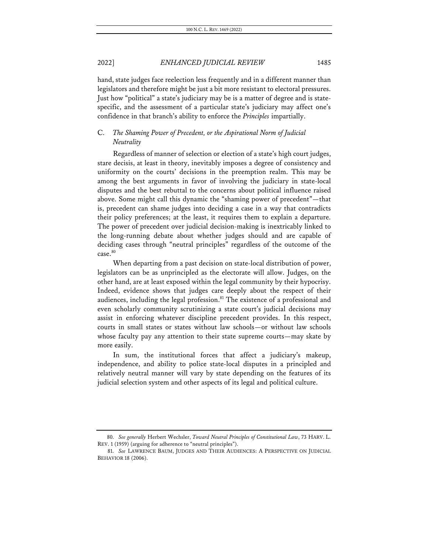hand, state judges face reelection less frequently and in a different manner than legislators and therefore might be just a bit more resistant to electoral pressures. Just how "political" a state's judiciary may be is a matter of degree and is statespecific, and the assessment of a particular state's judiciary may affect one's confidence in that branch's ability to enforce the *Principles* impartially.

### C. *The Shaming Power of Precedent, or the Aspirational Norm of Judicial Neutrality*

Regardless of manner of selection or election of a state's high court judges, stare decisis, at least in theory, inevitably imposes a degree of consistency and uniformity on the courts' decisions in the preemption realm. This may be among the best arguments in favor of involving the judiciary in state-local disputes and the best rebuttal to the concerns about political influence raised above. Some might call this dynamic the "shaming power of precedent"—that is, precedent can shame judges into deciding a case in a way that contradicts their policy preferences; at the least, it requires them to explain a departure. The power of precedent over judicial decision-making is inextricably linked to the long-running debate about whether judges should and are capable of deciding cases through "neutral principles" regardless of the outcome of the case.80

When departing from a past decision on state-local distribution of power, legislators can be as unprincipled as the electorate will allow. Judges, on the other hand, are at least exposed within the legal community by their hypocrisy. Indeed, evidence shows that judges care deeply about the respect of their audiences, including the legal profession.<sup>81</sup> The existence of a professional and even scholarly community scrutinizing a state court's judicial decisions may assist in enforcing whatever discipline precedent provides. In this respect, courts in small states or states without law schools—or without law schools whose faculty pay any attention to their state supreme courts—may skate by more easily.

In sum, the institutional forces that affect a judiciary's makeup, independence, and ability to police state-local disputes in a principled and relatively neutral manner will vary by state depending on the features of its judicial selection system and other aspects of its legal and political culture.

<sup>80.</sup> *See generally* Herbert Wechsler, *Toward Neutral Principles of Constitutional Law*, 73 HARV. L. REV. 1 (1959) (arguing for adherence to "neutral principles").

<sup>81.</sup> *See* LAWRENCE BAUM, JUDGES AND THEIR AUDIENCES: A PERSPECTIVE ON JUDICIAL BEHAVIOR 18 (2006).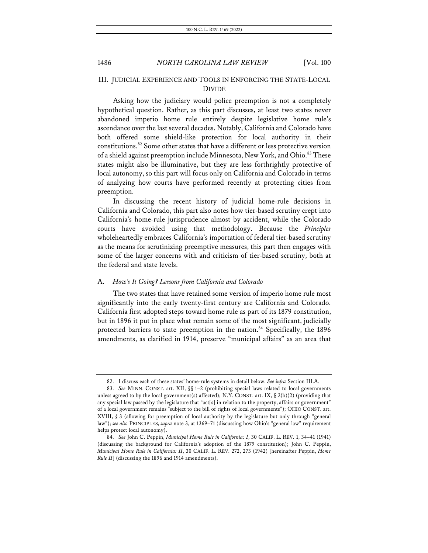### III. JUDICIAL EXPERIENCE AND TOOLS IN ENFORCING THE STATE-LOCAL DIVIDE

Asking how the judiciary would police preemption is not a completely hypothetical question. Rather, as this part discusses, at least two states never abandoned imperio home rule entirely despite legislative home rule's ascendance over the last several decades. Notably, California and Colorado have both offered some shield-like protection for local authority in their constitutions.82 Some other states that have a different or less protective version of a shield against preemption include Minnesota, New York, and Ohio.<sup>83</sup> These states might also be illuminative, but they are less forthrightly protective of local autonomy, so this part will focus only on California and Colorado in terms of analyzing how courts have performed recently at protecting cities from preemption.

In discussing the recent history of judicial home-rule decisions in California and Colorado, this part also notes how tier-based scrutiny crept into California's home-rule jurisprudence almost by accident, while the Colorado courts have avoided using that methodology. Because the *Principles*  wholeheartedly embraces California's importation of federal tier-based scrutiny as the means for scrutinizing preemptive measures, this part then engages with some of the larger concerns with and criticism of tier-based scrutiny, both at the federal and state levels.

#### A. *How's It Going? Lessons from California and Colorado*

The two states that have retained some version of imperio home rule most significantly into the early twenty-first century are California and Colorado. California first adopted steps toward home rule as part of its 1879 constitution, but in 1896 it put in place what remain some of the most significant, judicially protected barriers to state preemption in the nation.<sup>84</sup> Specifically, the 1896 amendments, as clarified in 1914, preserve "municipal affairs" as an area that

<sup>82.</sup> I discuss each of these states' home-rule systems in detail below. *See infra* Section III.A.

<sup>83.</sup> *See* MINN. CONST. art. XII, §§ 1–2 (prohibiting special laws related to local governments unless agreed to by the local government(s) affected); N.Y. CONST. art. IX, § 2(b)(2) (providing that any special law passed by the legislature that "act[s] in relation to the property, affairs or government" of a local government remains "subject to the bill of rights of local governments"); OHIO CONST. art. XVIII, § 3 (allowing for preemption of local authority by the legislature but only through "general law"); *see also* PRINCIPLES, *supra* note 3, at 1369–71 (discussing how Ohio's "general law" requirement helps protect local autonomy).

<sup>84.</sup> *See* John C. Peppin, *Municipal Home Rule in California: I*, 30 CALIF. L. REV. 1, 34–41 (1941) (discussing the background for California's adoption of the 1879 constitution); John C. Peppin, *Municipal Home Rule in California: II*, 30 CALIF. L. REV. 272, 273 (1942) [hereinafter Peppin, *Home Rule II*] (discussing the 1896 and 1914 amendments).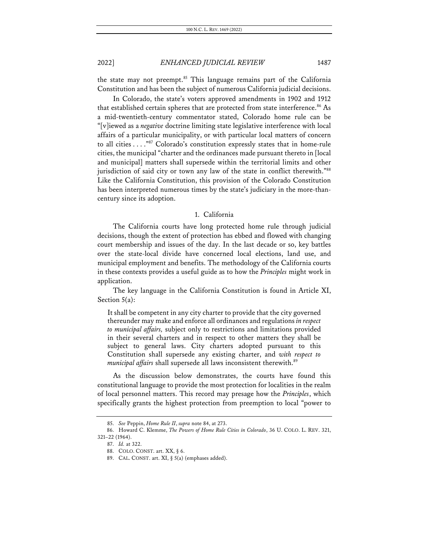the state may not preempt.<sup>85</sup> This language remains part of the California Constitution and has been the subject of numerous California judicial decisions.

In Colorado, the state's voters approved amendments in 1902 and 1912 that established certain spheres that are protected from state interference.<sup>86</sup> As a mid-twentieth-century commentator stated, Colorado home rule can be "[v]iewed as a *negative* doctrine limiting state legislative interference with local affairs of a particular municipality, or with particular local matters of concern to all cities . . . ."87 Colorado's constitution expressly states that in home-rule cities, the municipal "charter and the ordinances made pursuant thereto in [local and municipal] matters shall supersede within the territorial limits and other jurisdiction of said city or town any law of the state in conflict therewith."<sup>88</sup> Like the California Constitution, this provision of the Colorado Constitution has been interpreted numerous times by the state's judiciary in the more-thancentury since its adoption.

#### 1. California

The California courts have long protected home rule through judicial decisions, though the extent of protection has ebbed and flowed with changing court membership and issues of the day. In the last decade or so, key battles over the state-local divide have concerned local elections, land use, and municipal employment and benefits. The methodology of the California courts in these contexts provides a useful guide as to how the *Principles* might work in application.

The key language in the California Constitution is found in Article XI, Section 5(a):

It shall be competent in any city charter to provide that the city governed thereunder may make and enforce all ordinances and regulations *in respect to municipal affairs,* subject only to restrictions and limitations provided in their several charters and in respect to other matters they shall be subject to general laws. City charters adopted pursuant to this Constitution shall supersede any existing charter, and *with respect to municipal affairs* shall supersede all laws inconsistent therewith.<sup>89</sup>

As the discussion below demonstrates, the courts have found this constitutional language to provide the most protection for localities in the realm of local personnel matters. This record may presage how the *Principles*, which specifically grants the highest protection from preemption to local "power to

<sup>85.</sup> *See* Peppin, *Home Rule II*, *supra* note 84, at 273.

<sup>86.</sup> Howard C. Klemme, *The Powers of Home Rule Cities in Colorado*, 36 U. COLO. L. REV. 321, 321–22 (1964).

<sup>87.</sup> *Id.* at 322.

<sup>88.</sup> COLO. CONST. art. XX, § 6.

<sup>89.</sup> CAL. CONST. art. XI, § 5(a) (emphases added).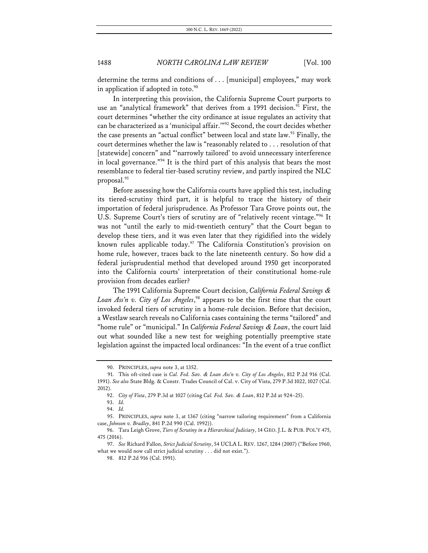determine the terms and conditions of . . . [municipal] employees," may work in application if adopted in toto. $90$ 

In interpreting this provision, the California Supreme Court purports to use an "analytical framework" that derives from a 1991 decision.<sup>91</sup> First, the court determines "whether the city ordinance at issue regulates an activity that can be characterized as a 'municipal affair.'"92 Second, the court decides whether the case presents an "actual conflict" between local and state law.<sup>93</sup> Finally, the court determines whether the law is "reasonably related to . . . resolution of that [statewide] concern" and "'narrowly tailored' to avoid unnecessary interference in local governance."94 It is the third part of this analysis that bears the most resemblance to federal tier-based scrutiny review, and partly inspired the NLC proposal.95

Before assessing how the California courts have applied this test, including its tiered-scrutiny third part, it is helpful to trace the history of their importation of federal jurisprudence. As Professor Tara Grove points out, the U.S. Supreme Court's tiers of scrutiny are of "relatively recent vintage."<sup>96</sup> It was not "until the early to mid-twentieth century" that the Court began to develop these tiers, and it was even later that they rigidified into the widely known rules applicable today.<sup>97</sup> The California Constitution's provision on home rule, however, traces back to the late nineteenth century. So how did a federal jurisprudential method that developed around 1950 get incorporated into the California courts' interpretation of their constitutional home-rule provision from decades earlier?

The 1991 California Supreme Court decision, *California Federal Savings & Loan Ass'n v. City of Los Angeles*, <sup>98</sup> appears to be the first time that the court invoked federal tiers of scrutiny in a home-rule decision. Before that decision, a Westlaw search reveals no California cases containing the terms "tailored" and "home rule" or "municipal." In *California Federal Savings & Loan*, the court laid out what sounded like a new test for weighing potentially preemptive state legislation against the impacted local ordinances: "In the event of a true conflict

<sup>90.</sup> PRINCIPLES, *supra* note 3, at 1352.

<sup>91.</sup> This oft-cited case is *Cal. Fed. Sav. & Loan Ass'n v. City of Los Angeles*, 812 P.2d 916 (Cal. 1991). *See also* State Bldg. & Constr. Trades Council of Cal. v. City of Vista, 279 P.3d 1022, 1027 (Cal. 2012).

<sup>92.</sup> *City of Vista*, 279 P.3d at 1027 (citing *Cal. Fed. Sav. & Loan*, 812 P.2d at 924–25).

<sup>93.</sup> *Id.*

<sup>94.</sup> *Id.*

<sup>95.</sup> PRINCIPLES, *supra* note 3, at 1367 (citing "narrow tailoring requirement" from a California case, *Johnson v. Bradley*, 841 P.2d 990 (Cal. 1992)).

<sup>96.</sup> Tara Leigh Grove, *Tiers of Scrutiny in a Hierarchical Judiciary*, 14 GEO. J.L. & PUB. POL'Y 475, 475 (2016).

<sup>97.</sup> *See* Richard Fallon, *Strict Judicial Scrutiny*, 54 UCLA L. REV. 1267, 1284 (2007) ("Before 1960, what we would now call strict judicial scrutiny . . . did not exist.").

<sup>98.</sup> 812 P.2d 916 (Cal. 1991).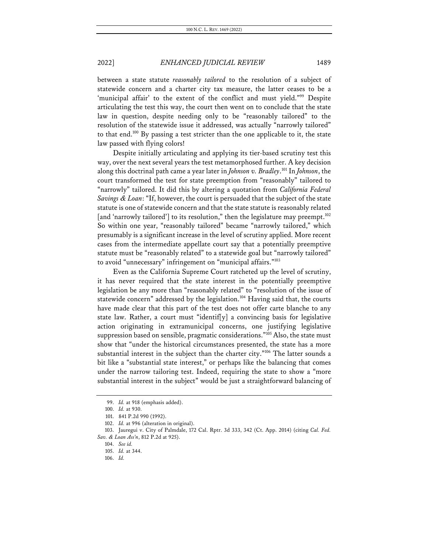between a state statute *reasonably tailored* to the resolution of a subject of statewide concern and a charter city tax measure, the latter ceases to be a 'municipal affair' to the extent of the conflict and must yield."<sup>99</sup> Despite articulating the test this way, the court then went on to conclude that the state law in question, despite needing only to be "reasonably tailored" to the resolution of the statewide issue it addressed, was actually "narrowly tailored" to that end.100 By passing a test stricter than the one applicable to it, the state law passed with flying colors!

Despite initially articulating and applying its tier-based scrutiny test this way, over the next several years the test metamorphosed further. A key decision along this doctrinal path came a year later in *Johnson v. Bradley*. <sup>101</sup> In *Johnson*, the court transformed the test for state preemption from "reasonably" tailored to "narrowly" tailored. It did this by altering a quotation from *California Federal Savings & Loan*: "If, however, the court is persuaded that the subject of the state statute is one of statewide concern and that the state statute is reasonably related [and 'narrowly tailored'] to its resolution," then the legislature may preempt.<sup>102</sup> So within one year, "reasonably tailored" became "narrowly tailored," which presumably is a significant increase in the level of scrutiny applied. More recent cases from the intermediate appellate court say that a potentially preemptive statute must be "reasonably related" to a statewide goal but "narrowly tailored" to avoid "unnecessary" infringement on "municipal affairs."103

Even as the California Supreme Court ratcheted up the level of scrutiny, it has never required that the state interest in the potentially preemptive legislation be any more than "reasonably related" to "resolution of the issue of statewide concern" addressed by the legislation.<sup>104</sup> Having said that, the courts have made clear that this part of the test does not offer carte blanche to any state law. Rather, a court must "identif[y] a convincing basis for legislative action originating in extramunicipal concerns, one justifying legislative suppression based on sensible, pragmatic considerations."<sup>105</sup> Also, the state must show that "under the historical circumstances presented, the state has a more substantial interest in the subject than the charter city."<sup>106</sup> The latter sounds a bit like a "substantial state interest," or perhaps like the balancing that comes under the narrow tailoring test. Indeed, requiring the state to show a "more substantial interest in the subject" would be just a straightforward balancing of

<sup>99.</sup> *Id.* at 918 (emphasis added).

<sup>100.</sup> *Id.* at 930.

<sup>101.</sup> 841 P.2d 990 (1992).

<sup>102.</sup> *Id.* at 996 (alteration in original).

<sup>103.</sup> Jauregui v. City of Palmdale, 172 Cal. Rptr. 3d 333, 342 (Ct. App. 2014) (citing *Cal. Fed. Sav. & Loan Ass'n*, 812 P.2d at 925).

<sup>104.</sup> *See id.*

<sup>105.</sup> *Id.* at 344.

<sup>106.</sup> *Id.*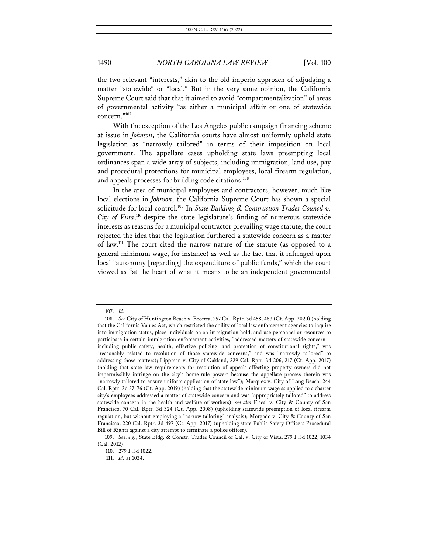the two relevant "interests," akin to the old imperio approach of adjudging a matter "statewide" or "local." But in the very same opinion, the California Supreme Court said that that it aimed to avoid "compartmentalization" of areas of governmental activity "as either a municipal affair or one of statewide concern."107

With the exception of the Los Angeles public campaign financing scheme at issue in *Johnson*, the California courts have almost uniformly upheld state legislation as "narrowly tailored" in terms of their imposition on local government. The appellate cases upholding state laws preempting local ordinances span a wide array of subjects, including immigration, land use, pay and procedural protections for municipal employees, local firearm regulation, and appeals processes for building code citations.<sup>108</sup>

In the area of municipal employees and contractors, however, much like local elections in *Johnson*, the California Supreme Court has shown a special solicitude for local control.109 In *State Building & Construction Trades Council v.*  City of Vista,<sup>110</sup> despite the state legislature's finding of numerous statewide interests as reasons for a municipal contractor prevailing wage statute, the court rejected the idea that the legislation furthered a statewide concern as a matter of law.111 The court cited the narrow nature of the statute (as opposed to a general minimum wage, for instance) as well as the fact that it infringed upon local "autonomy [regarding] the expenditure of public funds," which the court viewed as "at the heart of what it means to be an independent governmental

<sup>107.</sup> *Id.*

<sup>108.</sup> *See* City of Huntington Beach v. Becerra, 257 Cal. Rptr. 3d 458, 463 (Ct. App. 2020) (holding that the California Values Act, which restricted the ability of local law enforcement agencies to inquire into immigration status, place individuals on an immigration hold, and use personnel or resources to participate in certain immigration enforcement activities, "addressed matters of statewide concern including public safety, health, effective policing, and protection of constitutional rights," was "reasonably related to resolution of those statewide concerns," and was "narrowly tailored" to addressing those matters); Lippman v. City of Oakland, 229 Cal. Rptr. 3d 206, 217 (Ct. App. 2017) (holding that state law requirements for resolution of appeals affecting property owners did not impermissibly infringe on the city's home-rule powers because the appellate process therein was "narrowly tailored to ensure uniform application of state law"); Marquez v. City of Long Beach, 244 Cal. Rptr. 3d 57, 76 (Ct. App. 2019) (holding that the statewide minimum wage as applied to a charter city's employees addressed a matter of statewide concern and was "appropriately tailored" to address statewide concern in the health and welfare of workers); *see also* Fiscal v. City & County of San Francisco, 70 Cal. Rptr. 3d 324 (Ct. App. 2008) (upholding statewide preemption of local firearm regulation, but without employing a "narrow tailoring" analysis); Morgado v. City & County of San Francisco, 220 Cal. Rptr. 3d 497 (Ct. App. 2017) (upholding state Public Safety Officers Procedural Bill of Rights against a city attempt to terminate a police officer).

<sup>109.</sup> *See, e.g.*, State Bldg. & Constr. Trades Council of Cal. v. City of Vista, 279 P.3d 1022, 1034 (Cal. 2012).

<sup>110.</sup> 279 P.3d 1022.

<sup>111.</sup> *Id.* at 1034.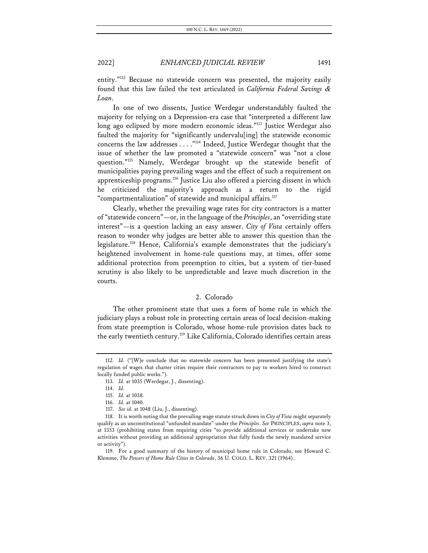entity."<sup>112</sup> Because no statewide concern was presented, the majority easily found that this law failed the test articulated in *California Federal Savings & Loan*.

In one of two dissents, Justice Werdegar understandably faulted the majority for relying on a Depression-era case that "interpreted a different law long ago eclipsed by more modern economic ideas."<sup>113</sup> Justice Werdegar also faulted the majority for "significantly undervalu[ing] the statewide economic concerns the law addresses . . . ."114 Indeed, Justice Werdegar thought that the issue of whether the law promoted a "statewide concern" was "not a close question."115 Namely, Werdegar brought up the statewide benefit of municipalities paying prevailing wages and the effect of such a requirement on apprenticeship programs.<sup>116</sup> Justice Liu also offered a piercing dissent in which he criticized the majority's approach as a return to the rigid "compartmentalization" of statewide and municipal affairs.<sup>117</sup>

Clearly, whether the prevailing wage rates for city contractors is a matter of "statewide concern"—or, in the language of the *Principles*, an "overriding state interest"—is a question lacking an easy answer. *City of Vista* certainly offers reason to wonder why judges are better able to answer this question than the legislature.118 Hence, California's example demonstrates that the judiciary's heightened involvement in home-rule questions may, at times, offer some additional protection from preemption to cities, but a system of tier-based scrutiny is also likely to be unpredictable and leave much discretion in the courts.

#### 2. Colorado

The other prominent state that uses a form of home rule in which the judiciary plays a robust role in protecting certain areas of local decision-making from state preemption is Colorado, whose home-rule provision dates back to the early twentieth century.<sup>119</sup> Like California, Colorado identifies certain areas

<sup>112.</sup> *Id.* ("[W]e conclude that no statewide concern has been presented justifying the state's regulation of wages that charter cities require their contractors to pay to workers hired to construct locally funded public works.").

<sup>113.</sup> *Id.* at 1035 (Werdegar, J., dissenting).

<sup>114.</sup> *Id.*

<sup>115.</sup> *Id.* at 1038.

<sup>116.</sup> *Id.* at 1040.

<sup>117.</sup> *See id.* at 1048 (Liu, J., dissenting).

<sup>118.</sup> It is worth noting that the prevailing wage statute struck down in *City of Vista* might separately qualify as an unconstitutional "unfunded mandate" under the *Principles*. *See* PRINCIPLES, *supra* note 3, at 1353 (prohibiting states from requiring cities "to provide additional services or undertake new activities without providing an additional appropriation that fully funds the newly mandated service or activity").

<sup>119.</sup> For a good summary of the history of municipal home rule in Colorado, see Howard C. Klemme, *The Powers of Home Rule Cities in Colorado*, 36 U. COLO. L. REV. 321 (1964).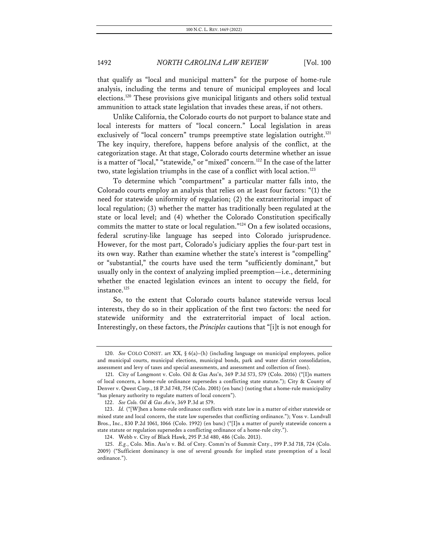that qualify as "local and municipal matters" for the purpose of home-rule analysis, including the terms and tenure of municipal employees and local elections.120 These provisions give municipal litigants and others solid textual ammunition to attack state legislation that invades these areas, if not others.

Unlike California, the Colorado courts do not purport to balance state and local interests for matters of "local concern." Local legislation in areas exclusively of "local concern" trumps preemptive state legislation outright.<sup>121</sup> The key inquiry, therefore, happens before analysis of the conflict, at the categorization stage. At that stage, Colorado courts determine whether an issue is a matter of "local," "statewide," or "mixed" concern.<sup>122</sup> In the case of the latter two, state legislation triumphs in the case of a conflict with local action.<sup>123</sup>

To determine which "compartment" a particular matter falls into, the Colorado courts employ an analysis that relies on at least four factors: "(1) the need for statewide uniformity of regulation; (2) the extraterritorial impact of local regulation; (3) whether the matter has traditionally been regulated at the state or local level; and (4) whether the Colorado Constitution specifically commits the matter to state or local regulation."124 On a few isolated occasions, federal scrutiny-like language has seeped into Colorado jurisprudence. However, for the most part, Colorado's judiciary applies the four-part test in its own way. Rather than examine whether the state's interest is "compelling" or "substantial," the courts have used the term "sufficiently dominant," but usually only in the context of analyzing implied preemption—i.e., determining whether the enacted legislation evinces an intent to occupy the field, for instance.<sup>125</sup>

So, to the extent that Colorado courts balance statewide versus local interests, they do so in their application of the first two factors: the need for statewide uniformity and the extraterritorial impact of local action. Interestingly, on these factors, the *Principles* cautions that "[i]t is not enough for

<sup>120.</sup> *See* COLO CONST. art XX, § 6(a)–(h) (including language on municipal employees, police and municipal courts, municipal elections, municipal bonds, park and water district consolidation, assessment and levy of taxes and special assessments, and assessment and collection of fines).

<sup>121.</sup> City of Longmont v. Colo. Oil & Gas Ass'n, 369 P.3d 573, 579 (Colo. 2016) ("[I]n matters of local concern, a home-rule ordinance supersedes a conflicting state statute."); City & County of Denver v. Qwest Corp., 18 P.3d 748, 754 (Colo. 2001) (en banc) (noting that a home-rule municipality "has plenary authority to regulate matters of local concern").

<sup>122.</sup> *See Colo. Oil & Gas Ass'n*, 369 P.3d at 579.

<sup>123.</sup> *Id.* ("[W]hen a home-rule ordinance conflicts with state law in a matter of either statewide or mixed state and local concern, the state law supersedes that conflicting ordinance."); Voss v. Lundvall Bros., Inc., 830 P.2d 1061, 1066 (Colo. 1992) (en banc) ("[I]n a matter of purely statewide concern a state statute or regulation supersedes a conflicting ordinance of a home-rule city.").

<sup>124.</sup> Webb v. City of Black Hawk, 295 P.3d 480, 486 (Colo. 2013).

<sup>125.</sup> *E.g.*, Colo. Min. Ass'n v. Bd. of Cnty. Comm'rs of Summit Cnty., 199 P.3d 718, 724 (Colo. 2009) ("Sufficient dominancy is one of several grounds for implied state preemption of a local ordinance.").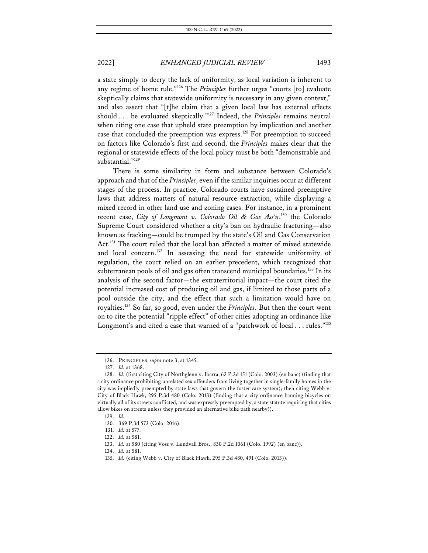a state simply to decry the lack of uniformity, as local variation is inherent to any regime of home rule."126 The *Principles* further urges "courts [to] evaluate skeptically claims that statewide uniformity is necessary in any given context," and also assert that "[t]he claim that a given local law has external effects should . . . be evaluated skeptically."127 Indeed, the *Principles* remains neutral when citing one case that upheld state preemption by implication and another case that concluded the preemption was express.<sup>128</sup> For preemption to succeed on factors like Colorado's first and second, the *Principles* makes clear that the regional or statewide effects of the local policy must be both "demonstrable and substantial."129

There is some similarity in form and substance between Colorado's approach and that of the *Principles*, even if the similar inquiries occur at different stages of the process. In practice, Colorado courts have sustained preemptive laws that address matters of natural resource extraction, while displaying a mixed record in other land use and zoning cases. For instance, in a prominent recent case, *City of Longmont v. Colorado Oil & Gas Ass'n*, <sup>130</sup> the Colorado Supreme Court considered whether a city's ban on hydraulic fracturing—also known as fracking—could be trumped by the state's Oil and Gas Conservation Act.<sup>131</sup> The court ruled that the local ban affected a matter of mixed statewide and local concern.<sup>132</sup> In assessing the need for statewide uniformity of regulation, the court relied on an earlier precedent, which recognized that subterranean pools of oil and gas often transcend municipal boundaries.<sup>133</sup> In its analysis of the second factor—the extraterritorial impact—the court cited the potential increased cost of producing oil and gas, if limited to those parts of a pool outside the city, and the effect that such a limitation would have on royalties.134 So far, so good, even under the *Principles*. But then the court went on to cite the potential "ripple effect" of other cities adopting an ordinance like Longmont's and cited a case that warned of a "patchwork of local . . . rules."<sup>135</sup>

<sup>126.</sup> PRINCIPLES, *supra* note 3, at 1345.

<sup>127.</sup> *Id.* at 1368.

<sup>128.</sup> *Id.* (first citing City of Northglenn v. Ibarra, 62 P.3d 151 (Colo. 2003) (en banc) (finding that a city ordinance prohibiting unrelated sex offenders from living together in single-family homes in the city was impliedly preempted by state laws that govern the foster care system); then citing Webb v. City of Black Hawk, 295 P.3d 480 (Colo. 2013) (finding that a city ordinance banning bicycles on virtually all of its streets conflicted, and was expressly preempted by, a state statute requiring that cities allow bikes on streets unless they provided an alternative bike path nearby)).

<sup>129.</sup> *Id.*

<sup>130.</sup> 369 P.3d 573 (Colo. 2016).

<sup>131.</sup> *Id.* at 577.

<sup>132.</sup> *Id.* at 581.

<sup>133.</sup> *Id.* at 580 (citing Voss v. Lundvall Bros., 830 P.2d 1061 (Colo. 1992) (en banc)).

<sup>134.</sup> *Id.* at 581.

<sup>135.</sup> *Id.* (citing Webb v. City of Black Hawk, 295 P.3d 480, 491 (Colo. 2013)).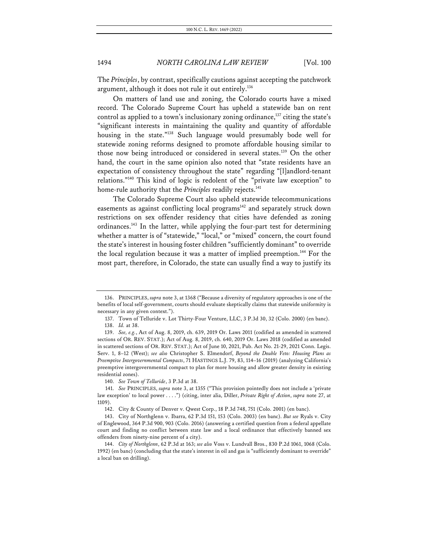The *Principles*, by contrast, specifically cautions against accepting the patchwork argument, although it does not rule it out entirely.<sup>136</sup>

On matters of land use and zoning, the Colorado courts have a mixed record. The Colorado Supreme Court has upheld a statewide ban on rent control as applied to a town's inclusionary zoning ordinance,<sup>137</sup> citing the state's "significant interests in maintaining the quality and quantity of affordable housing in the state."<sup>138</sup> Such language would presumably bode well for statewide zoning reforms designed to promote affordable housing similar to those now being introduced or considered in several states.<sup>139</sup> On the other hand, the court in the same opinion also noted that "state residents have an expectation of consistency throughout the state" regarding "[l]andlord-tenant relations."140 This kind of logic is redolent of the "private law exception" to home-rule authority that the *Principles* readily rejects. 141

The Colorado Supreme Court also upheld statewide telecommunications easements as against conflicting local programs<sup>142</sup> and separately struck down restrictions on sex offender residency that cities have defended as zoning ordinances.<sup>143</sup> In the latter, while applying the four-part test for determining whether a matter is of "statewide," "local," or "mixed" concern, the court found the state's interest in housing foster children "sufficiently dominant" to override the local regulation because it was a matter of implied preemption.<sup>144</sup> For the most part, therefore, in Colorado, the state can usually find a way to justify its

140. *See Town of Telluride*, 3 P.3d at 38.

142. City & County of Denver v. Qwest Corp., 18 P.3d 748, 751 (Colo. 2001) (en banc).

<sup>136.</sup> PRINCIPLES, *supra* note 3, at 1368 ("Because a diversity of regulatory approaches is one of the benefits of local self-government, courts should evaluate skeptically claims that statewide uniformity is necessary in any given context.").

<sup>137.</sup> Town of Telluride v. Lot Thirty-Four Venture, LLC, 3 P.3d 30, 32 (Colo. 2000) (en banc). 138. *Id.* at 38.

<sup>139.</sup> *See, e.g.*, Act of Aug. 8, 2019, ch. 639, 2019 Or. Laws 2011 (codified as amended in scattered sections of OR. REV. STAT.); Act of Aug. 8, 2019, ch. 640, 2019 Or. Laws 2018 (codified as amended in scattered sections of OR. REV. STAT.); Act of June 10, 2021, Pub. Act No. 21-29, 2021 Conn. Legis. Serv. 1, 8–12 (West); *see also* Christopher S. Elmendorf, *Beyond the Double Veto: Housing Plans as Preemptive Intergovernmental Compacts*, 71 HASTINGS L.J. 79, 83, 114–16 (2019) (analyzing California's preemptive intergovernmental compact to plan for more housing and allow greater density in existing residential zones).

<sup>141.</sup> *See* PRINCIPLES, *supra* note 3, at 1355 ("This provision pointedly does not include a 'private law exception' to local power . . . .") (citing, inter alia, Diller, *Private Right of Action*, *supra* note 27, at 1109).

<sup>143.</sup> City of Northglenn v. Ibarra, 62 P.3d 151, 153 (Colo. 2003) (en banc). *But see* Ryals v. City of Englewood, 364 P.3d 900, 903 (Colo. 2016) (answering a certified question from a federal appellate court and finding no conflict between state law and a local ordinance that effectively banned sex offenders from ninety-nine percent of a city).

<sup>144.</sup> *City of Northglenn*, 62 P.3d at 163; *see also* Voss v. Lundvall Bros., 830 P.2d 1061, 1068 (Colo. 1992) (en banc) (concluding that the state's interest in oil and gas is "sufficiently dominant to override" a local ban on drilling).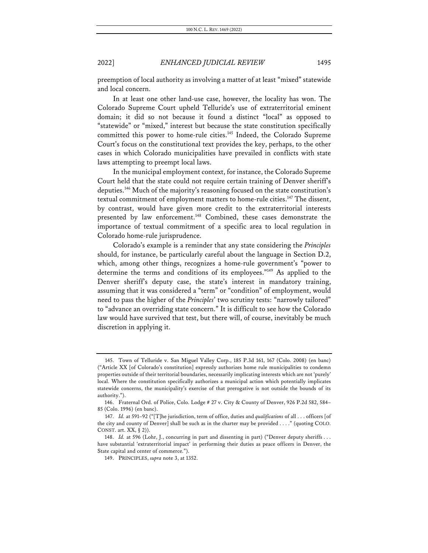preemption of local authority as involving a matter of at least "mixed" statewide and local concern.

In at least one other land-use case, however, the locality has won. The Colorado Supreme Court upheld Telluride's use of extraterritorial eminent domain; it did so not because it found a distinct "local" as opposed to "statewide" or "mixed," interest but because the state constitution specifically committed this power to home-rule cities.<sup>145</sup> Indeed, the Colorado Supreme Court's focus on the constitutional text provides the key, perhaps, to the other cases in which Colorado municipalities have prevailed in conflicts with state laws attempting to preempt local laws.

In the municipal employment context, for instance, the Colorado Supreme Court held that the state could not require certain training of Denver sheriff's deputies.146 Much of the majority's reasoning focused on the state constitution's textual commitment of employment matters to home-rule cities.<sup>147</sup> The dissent, by contrast, would have given more credit to the extraterritorial interests presented by law enforcement.<sup>148</sup> Combined, these cases demonstrate the importance of textual commitment of a specific area to local regulation in Colorado home-rule jurisprudence.

Colorado's example is a reminder that any state considering the *Principles* should, for instance, be particularly careful about the language in Section D.2, which, among other things, recognizes a home-rule government's "power to determine the terms and conditions of its employees."149 As applied to the Denver sheriff's deputy case, the state's interest in mandatory training, assuming that it was considered a "term" or "condition" of employment, would need to pass the higher of the *Principles*' two scrutiny tests: "narrowly tailored" to "advance an overriding state concern." It is difficult to see how the Colorado law would have survived that test, but there will, of course, inevitably be much discretion in applying it.

<sup>145.</sup> Town of Telluride v. San Miguel Valley Corp., 185 P.3d 161, 167 (Colo. 2008) (en banc) ("Article XX [of Colorado's constitution] expressly authorizes home rule municipalities to condemn properties outside of their territorial boundaries, necessarily implicating interests which are not 'purely' local. Where the constitution specifically authorizes a municipal action which potentially implicates statewide concerns, the municipality's exercise of that prerogative is not outside the bounds of its authority.").

<sup>146.</sup> Fraternal Ord. of Police, Colo. Lodge # 27 v. City & County of Denver, 926 P.2d 582, 584– 85 (Colo. 1996) (en banc).

<sup>147.</sup> *Id.* at 591–92 ("[T]he jurisdiction, term of office, duties and *qualifications* of all . . . officers [of the city and county of Denver] shall be such as in the charter may be provided . . . ." (quoting COLO. CONST. art. XX, § 2)).

<sup>148.</sup> *Id.* at 596 (Lohr, J., concurring in part and dissenting in part) ("Denver deputy sheriffs . . . have substantial 'extraterritorial impact' in performing their duties as peace officers in Denver, the State capital and center of commerce.").

<sup>149.</sup> PRINCIPLES, *supra* note 3, at 1352.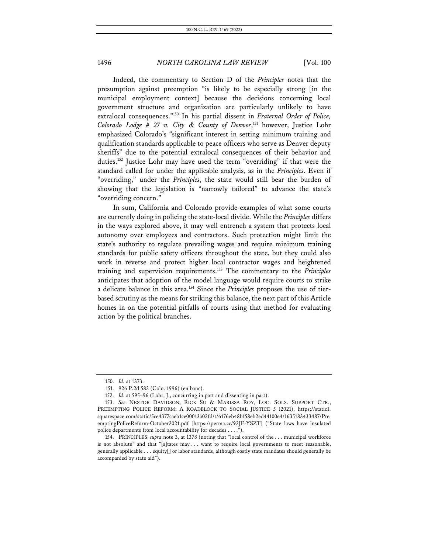Indeed, the commentary to Section D of the *Principles* notes that the presumption against preemption "is likely to be especially strong [in the municipal employment context] because the decisions concerning local government structure and organization are particularly unlikely to have extralocal consequences."150 In his partial dissent in *Fraternal Order of Police, Colorado Lodge # 27 v. City & County of Denver*, <sup>151</sup> however, Justice Lohr emphasized Colorado's "significant interest in setting minimum training and qualification standards applicable to peace officers who serve as Denver deputy sheriffs" due to the potential extralocal consequences of their behavior and duties.152 Justice Lohr may have used the term "overriding" if that were the standard called for under the applicable analysis, as in the *Principles*. Even if "overriding," under the *Principles*, the state would still bear the burden of showing that the legislation is "narrowly tailored" to advance the state's "overriding concern."

In sum, California and Colorado provide examples of what some courts are currently doing in policing the state-local divide. While the *Principles* differs in the ways explored above, it may well entrench a system that protects local autonomy over employees and contractors. Such protection might limit the state's authority to regulate prevailing wages and require minimum training standards for public safety officers throughout the state, but they could also work in reverse and protect higher local contractor wages and heightened training and supervision requirements.153 The commentary to the *Principles* anticipates that adoption of the model language would require courts to strike a delicate balance in this area.154 Since the *Principles* proposes the use of tierbased scrutiny as the means for striking this balance, the next part of this Article homes in on the potential pitfalls of courts using that method for evaluating action by the political branches.

<sup>150.</sup> *Id.* at 1373.

<sup>151.</sup> 926 P.2d 582 (Colo. 1996) (en banc).

<sup>152.</sup> *Id.* at 595–96 (Lohr, J., concurring in part and dissenting in part).

<sup>153.</sup> *See* NESTOR DAVIDSON, RICK SU & MARISSA ROY, LOC. SOLS. SUPPORT CTR., PREEMPTING POLICE REFORM: A ROADBLOCK TO SOCIAL JUSTICE 5 (2021), https://static1. squarespace.com/static/5ce4377caeb1ce00013a02fd/t/6176eb48b158eb2ed44100e4/1635183433487/Pre emptingPoliceReform-October2021.pdf [https://perma.cc/92JF-YSZT] ("State laws have insulated police departments from local accountability for decades . . . .").

<sup>154.</sup> PRINCIPLES, *supra* note 3, at 1378 (noting that "local control of the . . . municipal workforce is not absolute" and that "[s]tates may ... want to require local governments to meet reasonable, generally applicable . . . equity[] or labor standards, although costly state mandates should generally be accompanied by state aid").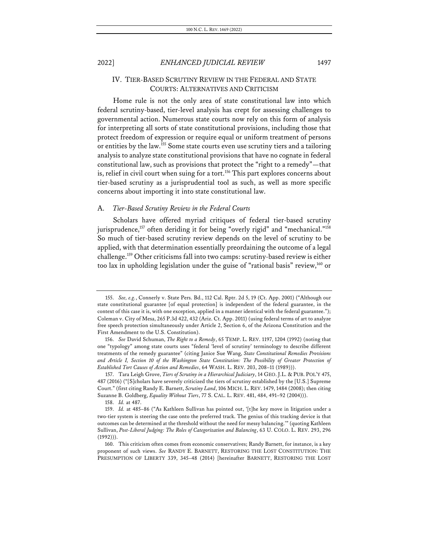### IV. TIER-BASED SCRUTINY REVIEW IN THE FEDERAL AND STATE COURTS: ALTERNATIVES AND CRITICISM

Home rule is not the only area of state constitutional law into which federal scrutiny-based, tier-level analysis has crept for assessing challenges to governmental action. Numerous state courts now rely on this form of analysis for interpreting all sorts of state constitutional provisions, including those that protect freedom of expression or require equal or uniform treatment of persons or entities by the law.155 Some state courts even use scrutiny tiers and a tailoring analysis to analyze state constitutional provisions that have no cognate in federal constitutional law, such as provisions that protect the "right to a remedy"—that is, relief in civil court when suing for a tort.<sup>156</sup> This part explores concerns about tier-based scrutiny as a jurisprudential tool as such, as well as more specific concerns about importing it into state constitutional law.

#### A. *Tier-Based Scrutiny Review in the Federal Courts*

Scholars have offered myriad critiques of federal tier-based scrutiny jurisprudence,<sup>157</sup> often deriding it for being "overly rigid" and "mechanical."<sup>158</sup> So much of tier-based scrutiny review depends on the level of scrutiny to be applied, with that determination essentially preordaining the outcome of a legal challenge.159 Other criticisms fall into two camps: scrutiny-based review is either too lax in upholding legislation under the guise of "rational basis" review,160 or

<sup>155.</sup> *See, e.g.*, Connerly v. State Pers. Bd., 112 Cal. Rptr. 2d 5, 19 (Ct. App. 2001) ("Although our state constitutional guarantee [of equal protection] is independent of the federal guarantee, in the context of this case it is, with one exception, applied in a manner identical with the federal guarantee."); Coleman v. City of Mesa, 265 P.3d 422, 432 (Ariz. Ct. App. 2011) (using federal terms of art to analyze free speech protection simultaneously under Article 2, Section 6, of the Arizona Constitution and the First Amendment to the U.S. Constitution).

<sup>156.</sup> *See* David Schuman, *The Right to a Remedy*, 65 TEMP. L. REV. 1197, 1204 (1992) (noting that one "typology" among state courts uses "federal 'level of scrutiny' terminology to describe different treatments of the remedy guarantee" (citing Janice Sue Wang, *State Constitutional Remedies Provisions and Article I, Section 10 of the Washington State Constitution: The Possibility of Greater Protection of Established Tort Causes of Action and Remedies*, 64 WASH. L. REV. 203, 208–11 (1989))).

<sup>157.</sup> Tara Leigh Grove, *Tiers of Scrutiny in a Hierarchical Judiciary*, 14 GEO. J.L. & PUB. POL'Y 475, 487 (2016) ("[S]cholars have severely criticized the tiers of scrutiny established by the [U.S.] Supreme Court." (first citing Randy E. Barnett, *Scrutiny Land*, 106 MICH. L. REV. 1479, 1484 (2008); then citing Suzanne B. Goldberg, *Equality Without Tiers*, 77 S. CAL. L. REV. 481, 484, 491–92 (2004))).

<sup>158.</sup> *Id.* at 487.

<sup>159.</sup> *Id.* at 485–86 ("As Kathleen Sullivan has pointed out, '[t]he key move in litigation under a two-tier system is steering the case onto the preferred track. The genius of this tracking device is that outcomes can be determined at the threshold without the need for messy balancing.'" (quoting Kathleen Sullivan, *Post-Liberal Judging: The Roles of Categorization and Balancing*, 63 U. COLO. L. REV. 293, 296 (1992))).

<sup>160.</sup> This criticism often comes from economic conservatives; Randy Barnett, for instance, is a key proponent of such views. *See* RANDY E. BARNETT, RESTORING THE LOST CONSTITUTION: THE PRESUMPTION OF LIBERTY 339, 345–48 (2014) [hereinafter BARNETT, RESTORING THE LOST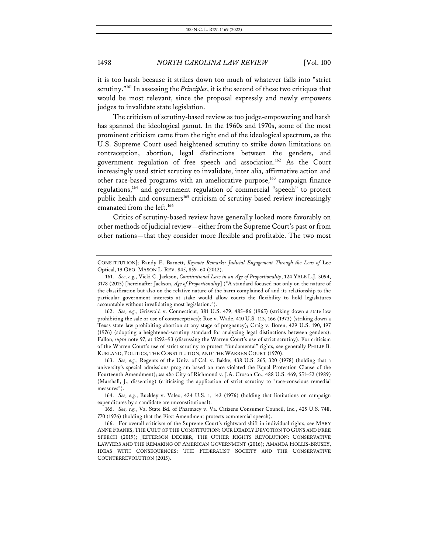it is too harsh because it strikes down too much of whatever falls into "strict scrutiny."<sup>161</sup> In assessing the *Principles*, it is the second of these two critiques that would be most relevant, since the proposal expressly and newly empowers judges to invalidate state legislation.

The criticism of scrutiny-based review as too judge-empowering and harsh has spanned the ideological gamut. In the 1960s and 1970s, some of the most prominent criticism came from the right end of the ideological spectrum, as the U.S. Supreme Court used heightened scrutiny to strike down limitations on contraception, abortion, legal distinctions between the genders, and government regulation of free speech and association.162 As the Court increasingly used strict scrutiny to invalidate, inter alia, affirmative action and other race-based programs with an ameliorative purpose,<sup>163</sup> campaign finance regulations,164 and government regulation of commercial "speech" to protect public health and consumers<sup>165</sup> criticism of scrutiny-based review increasingly emanated from the left.<sup>166</sup>

Critics of scrutiny-based review have generally looked more favorably on other methods of judicial review—either from the Supreme Court's past or from other nations—that they consider more flexible and profitable. The two most

CONSTITUTION]; Randy E. Barnett, *Keynote Remarks: Judicial Engagement Through the Lens of* Lee Optical, 19 GEO. MASON L. REV. 845, 859–60 (2012).

<sup>161.</sup> *See, e.g.*, Vicki C. Jackson, *Constitutional Law in an Age of Proportionality*, 124 YALE L.J. 3094, 3178 (2015) [hereinafter Jackson, *Age of Proportionality*] ("A standard focused not only on the nature of the classification but also on the relative nature of the harm complained of and its relationship to the particular government interests at stake would allow courts the flexibility to hold legislatures accountable without invalidating most legislation.").

<sup>162.</sup> *See, e.g.*, Griswold v. Connecticut, 381 U.S. 479, 485–86 (1965) (striking down a state law prohibiting the sale or use of contraceptives); Roe v. Wade, 410 U.S. 113, 166 (1973) (striking down a Texas state law prohibiting abortion at any stage of pregnancy); Craig v. Boren, 429 U.S. 190, 197 (1976) (adopting a heightened-scrutiny standard for analyzing legal distinctions between genders); Fallon, *supra* note 97, at 1292–93 (discussing the Warren Court's use of strict scrutiny). For criticism of the Warren Court's use of strict scrutiny to protect "fundamental" rights, see generally PHILIP B. KURLAND, POLITICS, THE CONSTITUTION, AND THE WARREN COURT (1970).

<sup>163.</sup> *See, e.g.*, Regents of the Univ. of Cal. v. Bakke, 438 U.S. 265, 320 (1978) (holding that a university's special admissions program based on race violated the Equal Protection Clause of the Fourteenth Amendment); *see also* City of Richmond v. J.A. Croson Co., 488 U.S. 469, 551–52 (1989) (Marshall, J., dissenting) (criticizing the application of strict scrutiny to "race-conscious remedial measures").

<sup>164.</sup> *See, e.g.*, Buckley v. Valeo, 424 U.S. 1, 143 (1976) (holding that limitations on campaign expenditures by a candidate are unconstitutional).

<sup>165.</sup> *See, e.g.*, Va. State Bd. of Pharmacy v. Va. Citizens Consumer Council, Inc., 425 U.S. 748, 770 (1976) (holding that the First Amendment protects commercial speech).

<sup>166.</sup> For overall criticism of the Supreme Court's rightward shift in individual rights, see MARY ANNE FRANKS, THE CULT OF THE CONSTITUTION: OUR DEADLY DEVOTION TO GUNS AND FREE SPEECH (2019); JEFFERSON DECKER, THE OTHER RIGHTS REVOLUTION: CONSERVATIVE LAWYERS AND THE REMAKING OF AMERICAN GOVERNMENT (2016); AMANDA HOLLIS-BRUSKY, IDEAS WITH CONSEQUENCES: THE FEDERALIST SOCIETY AND THE CONSERVATIVE COUNTERREVOLUTION (2015).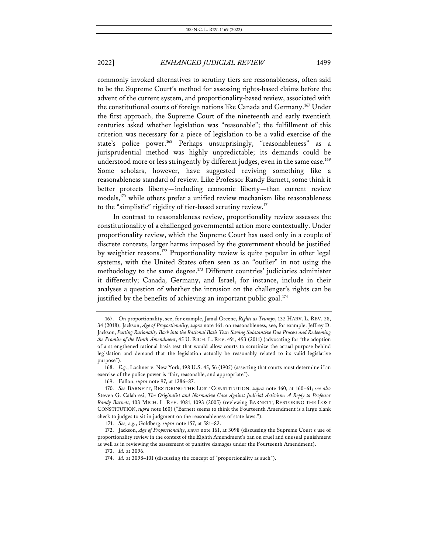commonly invoked alternatives to scrutiny tiers are reasonableness, often said to be the Supreme Court's method for assessing rights-based claims before the advent of the current system, and proportionality-based review, associated with the constitutional courts of foreign nations like Canada and Germany.<sup>167</sup> Under the first approach, the Supreme Court of the nineteenth and early twentieth centuries asked whether legislation was "reasonable"; the fulfillment of this criterion was necessary for a piece of legislation to be a valid exercise of the state's police power.<sup>168</sup> Perhaps unsurprisingly, "reasonableness" as a jurisprudential method was highly unpredictable; its demands could be understood more or less stringently by different judges, even in the same case.<sup>169</sup> Some scholars, however, have suggested reviving something like a reasonableness standard of review. Like Professor Randy Barnett, some think it better protects liberty—including economic liberty—than current review models,<sup>170</sup> while others prefer a unified review mechanism like reasonableness to the "simplistic" rigidity of tier-based scrutiny review.<sup>171</sup>

In contrast to reasonableness review, proportionality review assesses the constitutionality of a challenged governmental action more contextually. Under proportionality review, which the Supreme Court has used only in a couple of discrete contexts, larger harms imposed by the government should be justified by weightier reasons.<sup>172</sup> Proportionality review is quite popular in other legal systems, with the United States often seen as an "outlier" in not using the methodology to the same degree.<sup>173</sup> Different countries' judiciaries administer it differently; Canada, Germany, and Israel, for instance, include in their analyses a question of whether the intrusion on the challenger's rights can be justified by the benefits of achieving an important public goal.<sup>174</sup>

169. Fallon, *supra* note 97, at 1286–87.

<sup>167.</sup> On proportionality, see, for example, Jamal Greene, *Rights as Trumps*, 132 HARV. L. REV. 28, 34 (2018); Jackson, *Age of Proportionality*, *supra* note 161; on reasonableness, see, for example, Jeffrey D. Jackson, *Putting Rationality Back into the Rational Basis Test: Saving Substantive Due Process and Redeeming the Promise of the Ninth Amendment*, 45 U. RICH. L. REV. 491, 493 (2011) (advocating for "the adoption of a strengthened rational basis test that would allow courts to scrutinize the actual purpose behind legislation and demand that the legislation actually be reasonably related to its valid legislative purpose").

<sup>168.</sup> *E.g.*, Lochner v. New York, 198 U.S. 45, 56 (1905) (asserting that courts must determine if an exercise of the police power is "fair, reasonable, and appropriate").

<sup>170.</sup> *See* BARNETT, RESTORING THE LOST CONSTITUTION, *supra* note 160, at 160–61; *see also* Steven G. Calabresi, *The Originalist and Normative Case Against Judicial Activism: A Reply to Professor Randy Barnett*, 103 MICH. L. REV. 1081, 1093 (2005) (reviewing BARNETT, RESTORING THE LOST CONSTITUTION, *supra* note 160) ("Barnett seems to think the Fourteenth Amendment is a large blank check to judges to sit in judgment on the reasonableness of state laws.").

<sup>171.</sup> *See, e.g.*, Goldberg, *supra* note 157, at 581–82.

<sup>172.</sup> Jackson, *Age of Proportionality*, *supra* note 161, at 3098 (discussing the Supreme Court's use of proportionality review in the context of the Eighth Amendment's ban on cruel and unusual punishment as well as in reviewing the assessment of punitive damages under the Fourteenth Amendment).

<sup>173.</sup> *Id.* at 3096.

<sup>174.</sup> *Id.* at 3098–101 (discussing the concept of "proportionality as such").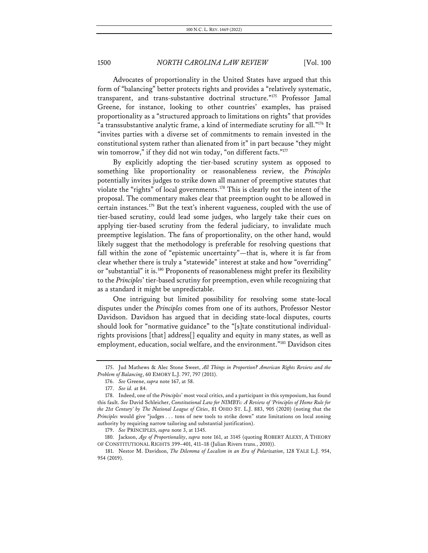Advocates of proportionality in the United States have argued that this form of "balancing" better protects rights and provides a "relatively systematic, transparent, and trans-substantive doctrinal structure."175 Professor Jamal Greene, for instance, looking to other countries' examples, has praised proportionality as a "structured approach to limitations on rights" that provides "a transsubstantive analytic frame, a kind of intermediate scrutiny for all."176 It "invites parties with a diverse set of commitments to remain invested in the constitutional system rather than alienated from it" in part because "they might win tomorrow," if they did not win today, "on different facts."<sup>177</sup>

By explicitly adopting the tier-based scrutiny system as opposed to something like proportionality or reasonableness review, the *Principles*  potentially invites judges to strike down all manner of preemptive statutes that violate the "rights" of local governments.178 This is clearly not the intent of the proposal. The commentary makes clear that preemption ought to be allowed in certain instances.179 But the text's inherent vagueness, coupled with the use of tier-based scrutiny, could lead some judges, who largely take their cues on applying tier-based scrutiny from the federal judiciary, to invalidate much preemptive legislation. The fans of proportionality, on the other hand, would likely suggest that the methodology is preferable for resolving questions that fall within the zone of "epistemic uncertainty"—that is, where it is far from clear whether there is truly a "statewide" interest at stake and how "overriding" or "substantial" it is.<sup>180</sup> Proponents of reasonableness might prefer its flexibility to the *Principles*' tier-based scrutiny for preemption, even while recognizing that as a standard it might be unpredictable.

One intriguing but limited possibility for resolving some state-local disputes under the *Principles* comes from one of its authors, Professor Nestor Davidson. Davidson has argued that in deciding state-local disputes, courts should look for "normative guidance" to the "[s]tate constitutional individualrights provisions [that] address[] equality and equity in many states, as well as employment, education, social welfare, and the environment."181 Davidson cites

<sup>175.</sup> Jud Mathews & Alec Stone Sweet, *All Things in Proportion? American Rights Review and the Problem of Balancing*, 60 EMORY L.J. 797, 797 (2011).

<sup>176.</sup> *See* Greene, *supra* note 167, at 58.

<sup>177.</sup> *See id.* at 84.

<sup>178.</sup> Indeed, one of the *Principles*' most vocal critics, and a participant in this symposium, has found this fault. *See* David Schleicher, *Constitutional Law for NIMBYs: A Review of 'Principles of Home Rule for the 21st Century' by The National League of Cities*, 81 OHIO ST. L.J. 883, 905 (2020) (noting that the *Principles* would give "judges . . . tons of new tools to strike down" state limitations on local zoning authority by requiring narrow tailoring and substantial justification).

<sup>179.</sup> *See* PRINCIPLES, *supra* note 3, at 1345.

<sup>180.</sup> Jackson, *Age of Proportionality*, *supra* note 161, at 3145 (quoting ROBERT ALEXY, A THEORY OF CONSTITUTIONAL RIGHTS 399–401, 411–18 (Julian Rivers trans., 2010)).

<sup>181.</sup> Nestor M. Davidson, *The Dilemma of Localism in an Era of Polarization*, 128 YALE L.J. 954, 954 (2019).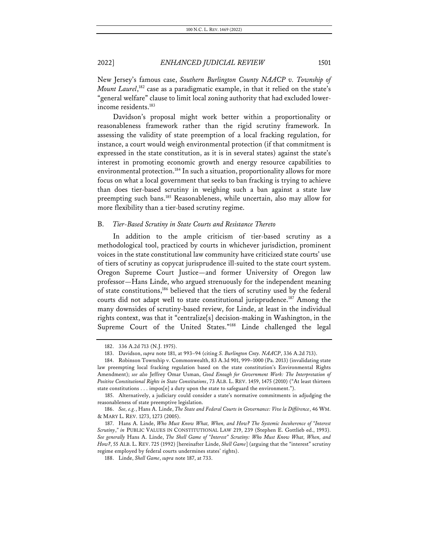New Jersey's famous case, *Southern Burlington County NAACP v. Township of Mount Laurel*, <sup>182</sup> case as a paradigmatic example, in that it relied on the state's "general welfare" clause to limit local zoning authority that had excluded lowerincome residents.<sup>183</sup>

Davidson's proposal might work better within a proportionality or reasonableness framework rather than the rigid scrutiny framework. In assessing the validity of state preemption of a local fracking regulation, for instance, a court would weigh environmental protection (if that commitment is expressed in the state constitution, as it is in several states) against the state's interest in promoting economic growth and energy resource capabilities to environmental protection.<sup>184</sup> In such a situation, proportionality allows for more focus on what a local government that seeks to ban fracking is trying to achieve than does tier-based scrutiny in weighing such a ban against a state law preempting such bans.<sup>185</sup> Reasonableness, while uncertain, also may allow for more flexibility than a tier-based scrutiny regime.

### B. *Tier-Based Scrutiny in State Courts and Resistance Thereto*

In addition to the ample criticism of tier-based scrutiny as a methodological tool, practiced by courts in whichever jurisdiction, prominent voices in the state constitutional law community have criticized state courts' use of tiers of scrutiny as copycat jurisprudence ill-suited to the state court system. Oregon Supreme Court Justice—and former University of Oregon law professor—Hans Linde, who argued strenuously for the independent meaning of state constitutions,<sup>186</sup> believed that the tiers of scrutiny used by the federal courts did not adapt well to state constitutional jurisprudence.<sup>187</sup> Among the many downsides of scrutiny-based review, for Linde, at least in the individual rights context, was that it "centralize[s] decision-making in Washington, in the Supreme Court of the United States."188 Linde challenged the legal

<sup>182.</sup> 336 A.2d 713 (N.J. 1975).

<sup>183.</sup> Davidson, *supra* note 181, at 993–94 (citing *S. Burlington Cnty. NAACP*, 336 A.2d 713).

<sup>184.</sup> Robinson Township v. Commonwealth, 83 A.3d 901, 999–1000 (Pa. 2013) (invalidating state law preempting local fracking regulation based on the state constitution's Environmental Rights Amendment); *see also* Jeffrey Omar Usman, *Good Enough for Government Work: The Interpretation of Positive Constitutional Rights in State Constitutions*, 73 ALB. L. REV. 1459, 1475 (2010) ("At least thirteen state constitutions . . . impos[e] a duty upon the state to safeguard the environment.").

<sup>185.</sup> Alternatively, a judiciary could consider a state's normative commitments in adjudging the reasonableness of state preemptive legislation.

<sup>186.</sup> *See, e.g.*, Hans A. Linde, *The State and Federal Courts in Governance: Vive la Différence*, 46 WM. & MARY L. REV. 1273, 1273 (2005).

<sup>187.</sup> Hans A. Linde, *Who Must Know What, When, and How? The Systemic Incoherence of "Interest Scrutiny*,*" in* PUBLIC VALUES IN CONSTITUTIONAL LAW 219, 239 (Stephen E. Gottlieb ed., 1993). *See generally* Hans A. Linde, *The Shell Game of "Interest" Scrutiny: Who Must Know What, When, and How?*, 55 ALB. L. REV. 725 (1992) [hereinafter Linde, *Shell Game*] (arguing that the "interest" scrutiny regime employed by federal courts undermines states' rights).

<sup>188.</sup> Linde, *Shell Game*, *supra* note 187, at 733.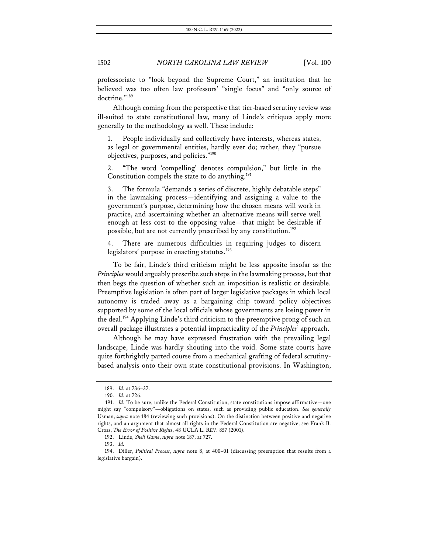professoriate to "look beyond the Supreme Court," an institution that he believed was too often law professors' "single focus" and "only source of doctrine."<sup>189</sup>

Although coming from the perspective that tier-based scrutiny review was ill-suited to state constitutional law, many of Linde's critiques apply more generally to the methodology as well. These include:

1. People individually and collectively have interests, whereas states, as legal or governmental entities, hardly ever do; rather, they "pursue objectives, purposes, and policies."190

2. "The word 'compelling' denotes compulsion," but little in the Constitution compels the state to do anything.<sup>191</sup>

3. The formula "demands a series of discrete, highly debatable steps" in the lawmaking process—identifying and assigning a value to the government's purpose, determining how the chosen means will work in practice, and ascertaining whether an alternative means will serve well enough at less cost to the opposing value—that might be desirable if possible, but are not currently prescribed by any constitution.<sup>192</sup>

4. There are numerous difficulties in requiring judges to discern legislators' purpose in enacting statutes.<sup>193</sup>

To be fair, Linde's third criticism might be less apposite insofar as the *Principles* would arguably prescribe such steps in the lawmaking process, but that then begs the question of whether such an imposition is realistic or desirable. Preemptive legislation is often part of larger legislative packages in which local autonomy is traded away as a bargaining chip toward policy objectives supported by some of the local officials whose governments are losing power in the deal.194 Applying Linde's third criticism to the preemptive prong of such an overall package illustrates a potential impracticality of the *Principles*' approach.

Although he may have expressed frustration with the prevailing legal landscape, Linde was hardly shouting into the void. Some state courts have quite forthrightly parted course from a mechanical grafting of federal scrutinybased analysis onto their own state constitutional provisions. In Washington,

<sup>189.</sup> *Id.* at 736–37.

<sup>190.</sup> *Id.* at 726.

<sup>191.</sup> *Id.* To be sure, unlike the Federal Constitution, state constitutions impose affirmative—one might say "compulsory"—obligations on states, such as providing public education. *See generally* Usman, *supra* note 184 (reviewing such provisions). On the distinction between positive and negative rights, and an argument that almost all rights in the Federal Constitution are negative, see Frank B. Cross, *The Error of Positive Rights*, 48 UCLA L. REV. 857 (2001).

<sup>192.</sup> Linde, *Shell Game*, *supra* note 187, at 727.

<sup>193.</sup> *Id.*

<sup>194.</sup> Diller, *Political Process*, *supra* note 8, at 400–01 (discussing preemption that results from a legislative bargain).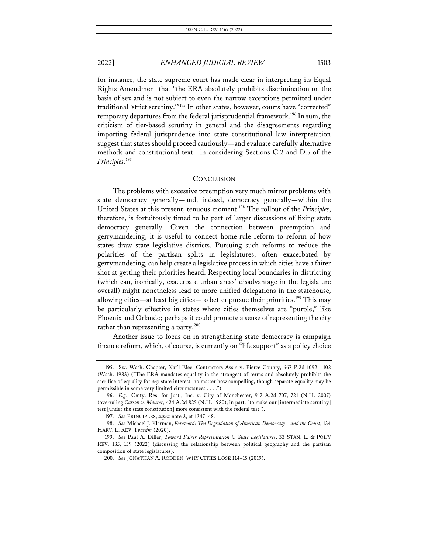for instance, the state supreme court has made clear in interpreting its Equal Rights Amendment that "the ERA absolutely prohibits discrimination on the basis of sex and is not subject to even the narrow exceptions permitted under traditional 'strict scrutiny.'"195 In other states, however, courts have "corrected" temporary departures from the federal jurisprudential framework.196 In sum, the criticism of tier-based scrutiny in general and the disagreements regarding importing federal jurisprudence into state constitutional law interpretation suggest that states should proceed cautiously—and evaluate carefully alternative methods and constitutional text—in considering Sections C.2 and D.5 of the *Principles*. 197

#### **CONCLUSION**

The problems with excessive preemption very much mirror problems with state democracy generally—and, indeed, democracy generally—within the United States at this present, tenuous moment.198 The rollout of the *Principles*, therefore, is fortuitously timed to be part of larger discussions of fixing state democracy generally. Given the connection between preemption and gerrymandering, it is useful to connect home-rule reform to reform of how states draw state legislative districts. Pursuing such reforms to reduce the polarities of the partisan splits in legislatures, often exacerbated by gerrymandering, can help create a legislative process in which cities have a fairer shot at getting their priorities heard. Respecting local boundaries in districting (which can, ironically, exacerbate urban areas' disadvantage in the legislature overall) might nonetheless lead to more unified delegations in the statehouse, allowing cities—at least big cities—to better pursue their priorities.199 This may be particularly effective in states where cities themselves are "purple," like Phoenix and Orlando; perhaps it could promote a sense of representing the city rather than representing a party.<sup>200</sup>

Another issue to focus on in strengthening state democracy is campaign finance reform, which, of course, is currently on "life support" as a policy choice

<sup>195.</sup> Sw. Wash. Chapter, Nat'l Elec. Contractors Ass'n v. Pierce County, 667 P.2d 1092, 1102 (Wash. 1983) ("The ERA mandates equality in the strongest of terms and absolutely prohibits the sacrifice of equality for *any* state interest, no matter how compelling, though separate equality may be permissible in some very limited circumstances . . . .").

<sup>196.</sup> *E.g.*, Cmty. Res. for Just., Inc. v. City of Manchester, 917 A.2d 707, 721 (N.H. 2007) (overruling *Carson v. Maurer*, 424 A.2d 825 (N.H. 1980), in part, "to make our [intermediate scrutiny] test [under the state constitution] more consistent with the federal test").

<sup>197.</sup> *See* PRINCIPLES, *supra* note 3, at 1347–48.

<sup>198.</sup> *See* Michael J. Klarman, *Foreword: The Degradation of American Democracy—and the Court*, 134 HARV. L. REV. 1 *passim* (2020).

<sup>199.</sup> *See* Paul A. Diller, *Toward Fairer Representation in State Legislatures*, 33 STAN. L. & POL'Y REV. 135, 159 (2022) (discussing the relationship between political geography and the partisan composition of state legislatures).

<sup>200.</sup> *See* JONATHAN A. RODDEN, WHY CITIES LOSE 114–15 (2019).